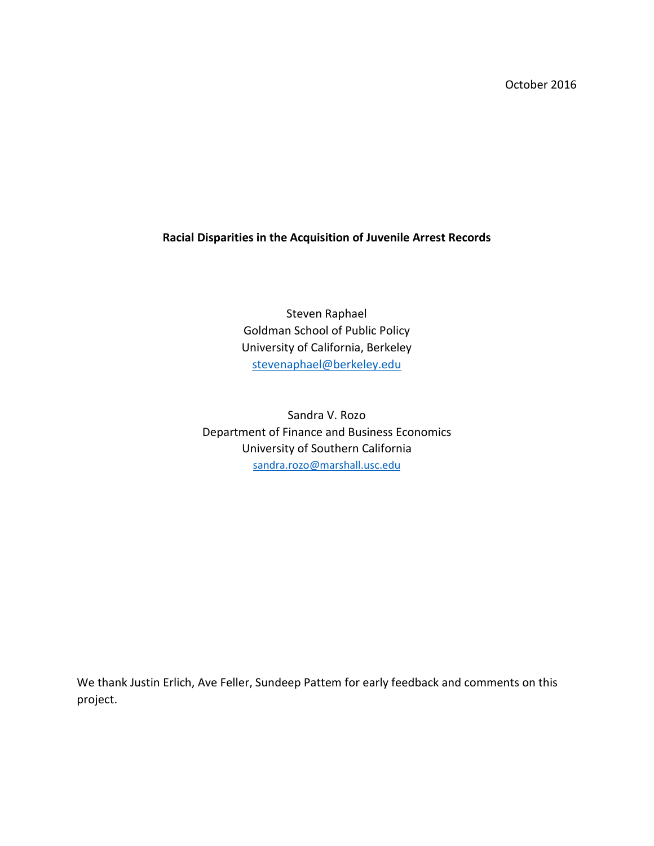October 2016

# **Racial Disparities in the Acquisition of Juvenile Arrest Records**

Steven Raphael Goldman School of Public Policy University of California, Berkeley [stevenaphael@berkeley.edu](mailto:stevenaphael@berkeley.edu)

Sandra V. Rozo Department of Finance and Business Economics University of Southern California [sandra.rozo@marshall.usc.edu](mailto:sandra.rozo@marshall.usc.edu)

We thank Justin Erlich, Ave Feller, Sundeep Pattem for early feedback and comments on this project.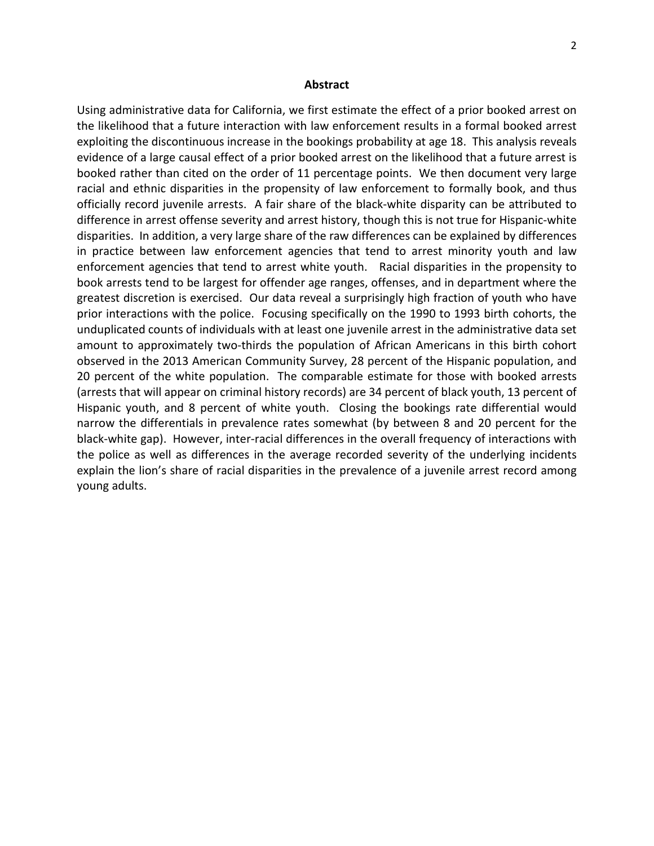#### **Abstract**

Using administrative data for California, we first estimate the effect of a prior booked arrest on the likelihood that a future interaction with law enforcement results in a formal booked arrest exploiting the discontinuous increase in the bookings probability at age 18. This analysis reveals evidence of a large causal effect of a prior booked arrest on the likelihood that a future arrest is booked rather than cited on the order of 11 percentage points. We then document very large racial and ethnic disparities in the propensity of law enforcement to formally book, and thus officially record juvenile arrests. A fair share of the black-white disparity can be attributed to difference in arrest offense severity and arrest history, though this is not true for Hispanic-white disparities. In addition, a very large share of the raw differences can be explained by differences in practice between law enforcement agencies that tend to arrest minority youth and law enforcement agencies that tend to arrest white youth. Racial disparities in the propensity to book arrests tend to be largest for offender age ranges, offenses, and in department where the greatest discretion is exercised. Our data reveal a surprisingly high fraction of youth who have prior interactions with the police. Focusing specifically on the 1990 to 1993 birth cohorts, the unduplicated counts of individuals with at least one juvenile arrest in the administrative data set amount to approximately two-thirds the population of African Americans in this birth cohort observed in the 2013 American Community Survey, 28 percent of the Hispanic population, and 20 percent of the white population. The comparable estimate for those with booked arrests (arrests that will appear on criminal history records) are 34 percent of black youth, 13 percent of Hispanic youth, and 8 percent of white youth. Closing the bookings rate differential would narrow the differentials in prevalence rates somewhat (by between 8 and 20 percent for the black-white gap). However, inter-racial differences in the overall frequency of interactions with the police as well as differences in the average recorded severity of the underlying incidents explain the lion's share of racial disparities in the prevalence of a juvenile arrest record among young adults.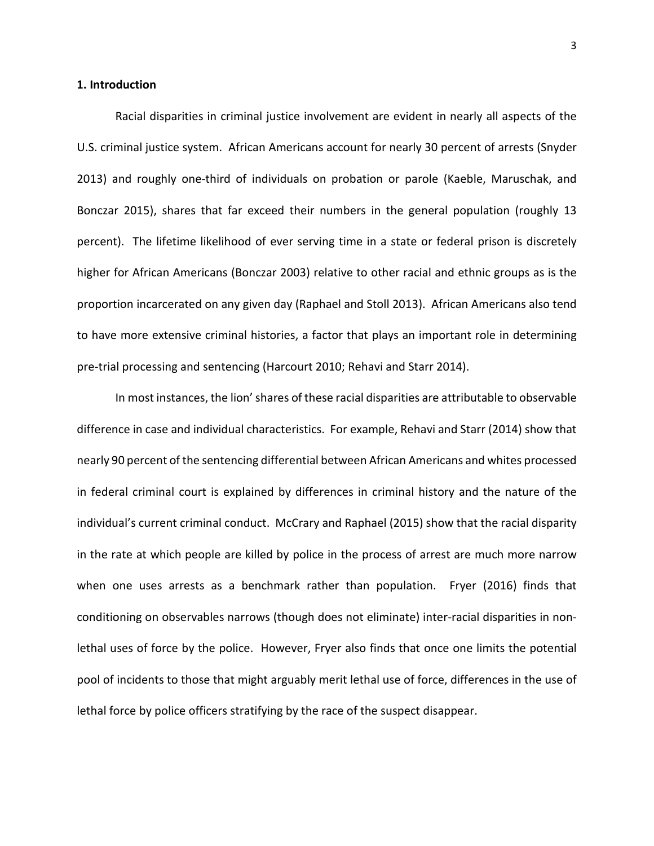### **1. Introduction**

Racial disparities in criminal justice involvement are evident in nearly all aspects of the U.S. criminal justice system. African Americans account for nearly 30 percent of arrests (Snyder 2013) and roughly one-third of individuals on probation or parole (Kaeble, Maruschak, and Bonczar 2015), shares that far exceed their numbers in the general population (roughly 13 percent). The lifetime likelihood of ever serving time in a state or federal prison is discretely higher for African Americans (Bonczar 2003) relative to other racial and ethnic groups as is the proportion incarcerated on any given day (Raphael and Stoll 2013). African Americans also tend to have more extensive criminal histories, a factor that plays an important role in determining pre-trial processing and sentencing (Harcourt 2010; Rehavi and Starr 2014).

In most instances, the lion' shares of these racial disparities are attributable to observable difference in case and individual characteristics. For example, Rehavi and Starr (2014) show that nearly 90 percent of the sentencing differential between African Americans and whites processed in federal criminal court is explained by differences in criminal history and the nature of the individual's current criminal conduct. McCrary and Raphael (2015) show that the racial disparity in the rate at which people are killed by police in the process of arrest are much more narrow when one uses arrests as a benchmark rather than population. Fryer (2016) finds that conditioning on observables narrows (though does not eliminate) inter-racial disparities in nonlethal uses of force by the police. However, Fryer also finds that once one limits the potential pool of incidents to those that might arguably merit lethal use of force, differences in the use of lethal force by police officers stratifying by the race of the suspect disappear.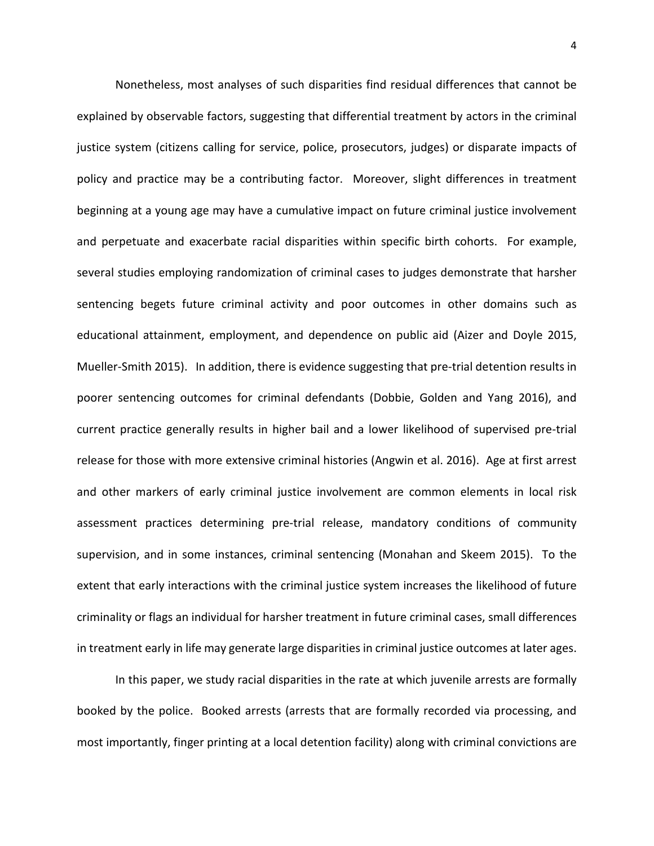Nonetheless, most analyses of such disparities find residual differences that cannot be explained by observable factors, suggesting that differential treatment by actors in the criminal justice system (citizens calling for service, police, prosecutors, judges) or disparate impacts of policy and practice may be a contributing factor. Moreover, slight differences in treatment beginning at a young age may have a cumulative impact on future criminal justice involvement and perpetuate and exacerbate racial disparities within specific birth cohorts. For example, several studies employing randomization of criminal cases to judges demonstrate that harsher sentencing begets future criminal activity and poor outcomes in other domains such as educational attainment, employment, and dependence on public aid (Aizer and Doyle 2015, Mueller-Smith 2015). In addition, there is evidence suggesting that pre-trial detention results in poorer sentencing outcomes for criminal defendants (Dobbie, Golden and Yang 2016), and current practice generally results in higher bail and a lower likelihood of supervised pre-trial release for those with more extensive criminal histories (Angwin et al. 2016). Age at first arrest and other markers of early criminal justice involvement are common elements in local risk assessment practices determining pre-trial release, mandatory conditions of community supervision, and in some instances, criminal sentencing (Monahan and Skeem 2015). To the extent that early interactions with the criminal justice system increases the likelihood of future criminality or flags an individual for harsher treatment in future criminal cases, small differences in treatment early in life may generate large disparities in criminal justice outcomes at later ages.

In this paper, we study racial disparities in the rate at which juvenile arrests are formally booked by the police. Booked arrests (arrests that are formally recorded via processing, and most importantly, finger printing at a local detention facility) along with criminal convictions are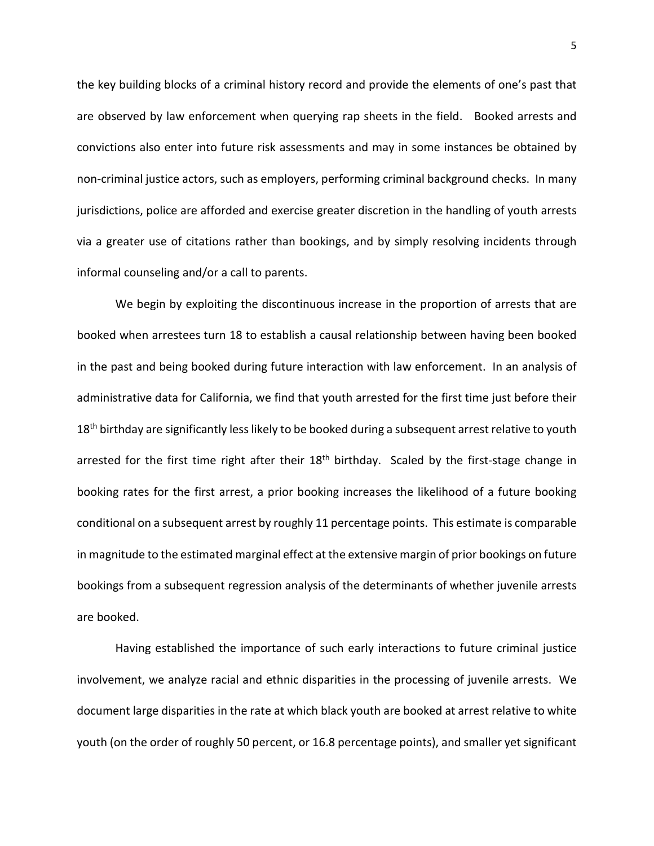the key building blocks of a criminal history record and provide the elements of one's past that are observed by law enforcement when querying rap sheets in the field. Booked arrests and convictions also enter into future risk assessments and may in some instances be obtained by non-criminal justice actors, such as employers, performing criminal background checks. In many jurisdictions, police are afforded and exercise greater discretion in the handling of youth arrests via a greater use of citations rather than bookings, and by simply resolving incidents through informal counseling and/or a call to parents.

We begin by exploiting the discontinuous increase in the proportion of arrests that are booked when arrestees turn 18 to establish a causal relationship between having been booked in the past and being booked during future interaction with law enforcement. In an analysis of administrative data for California, we find that youth arrested for the first time just before their  $18<sup>th</sup>$  birthday are significantly less likely to be booked during a subsequent arrest relative to youth arrested for the first time right after their  $18<sup>th</sup>$  birthday. Scaled by the first-stage change in booking rates for the first arrest, a prior booking increases the likelihood of a future booking conditional on a subsequent arrest by roughly 11 percentage points. This estimate is comparable in magnitude to the estimated marginal effect at the extensive margin of prior bookings on future bookings from a subsequent regression analysis of the determinants of whether juvenile arrests are booked.

Having established the importance of such early interactions to future criminal justice involvement, we analyze racial and ethnic disparities in the processing of juvenile arrests. We document large disparities in the rate at which black youth are booked at arrest relative to white youth (on the order of roughly 50 percent, or 16.8 percentage points), and smaller yet significant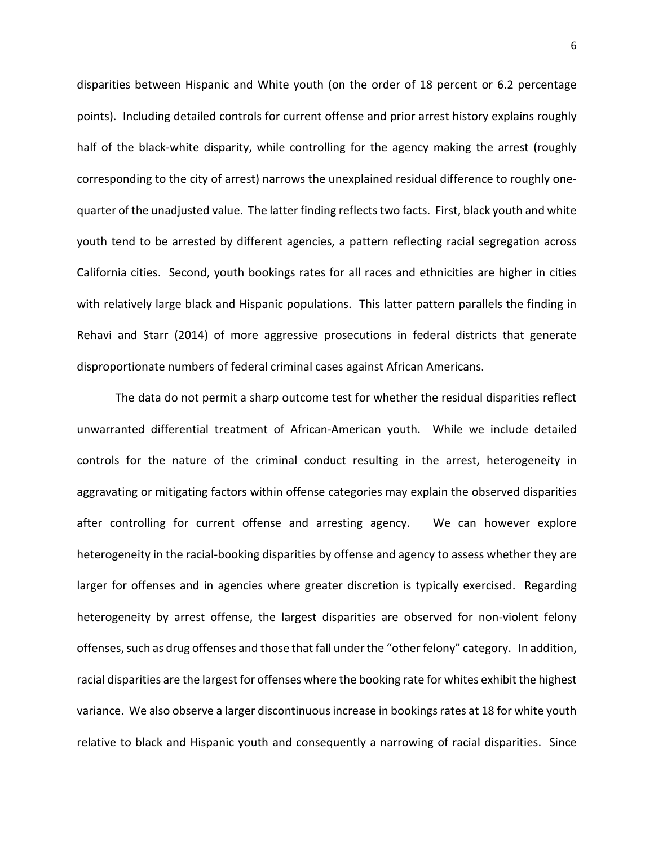disparities between Hispanic and White youth (on the order of 18 percent or 6.2 percentage points). Including detailed controls for current offense and prior arrest history explains roughly half of the black-white disparity, while controlling for the agency making the arrest (roughly corresponding to the city of arrest) narrows the unexplained residual difference to roughly onequarter of the unadjusted value. The latter finding reflects two facts. First, black youth and white youth tend to be arrested by different agencies, a pattern reflecting racial segregation across California cities. Second, youth bookings rates for all races and ethnicities are higher in cities with relatively large black and Hispanic populations. This latter pattern parallels the finding in Rehavi and Starr (2014) of more aggressive prosecutions in federal districts that generate disproportionate numbers of federal criminal cases against African Americans.

The data do not permit a sharp outcome test for whether the residual disparities reflect unwarranted differential treatment of African-American youth. While we include detailed controls for the nature of the criminal conduct resulting in the arrest, heterogeneity in aggravating or mitigating factors within offense categories may explain the observed disparities after controlling for current offense and arresting agency. We can however explore heterogeneity in the racial-booking disparities by offense and agency to assess whether they are larger for offenses and in agencies where greater discretion is typically exercised. Regarding heterogeneity by arrest offense, the largest disparities are observed for non-violent felony offenses, such as drug offenses and those that fall under the "other felony" category. In addition, racial disparities are the largest for offenses where the booking rate for whites exhibit the highest variance. We also observe a larger discontinuous increase in bookings rates at 18 for white youth relative to black and Hispanic youth and consequently a narrowing of racial disparities. Since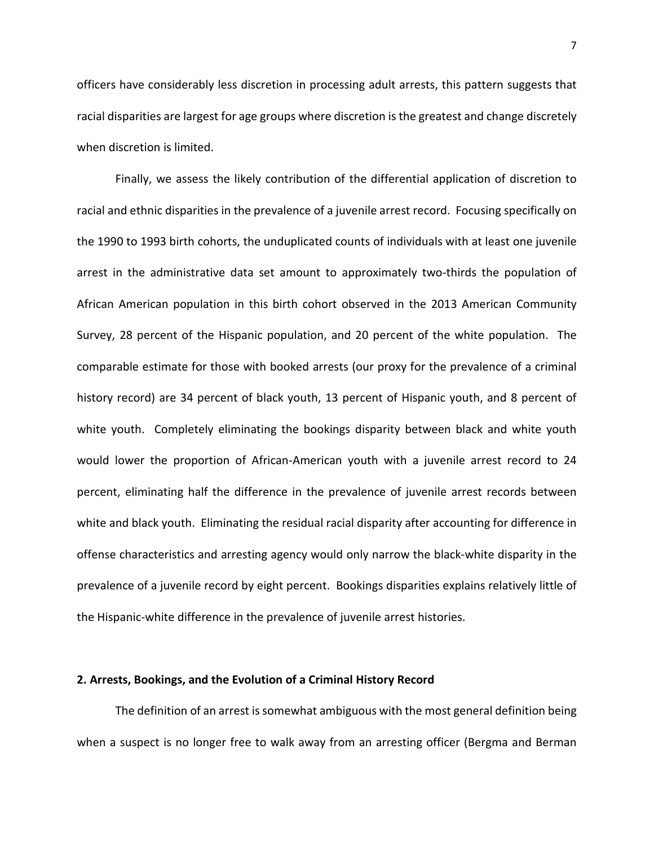officers have considerably less discretion in processing adult arrests, this pattern suggests that racial disparities are largest for age groups where discretion is the greatest and change discretely when discretion is limited.

Finally, we assess the likely contribution of the differential application of discretion to racial and ethnic disparities in the prevalence of a juvenile arrest record. Focusing specifically on the 1990 to 1993 birth cohorts, the unduplicated counts of individuals with at least one juvenile arrest in the administrative data set amount to approximately two-thirds the population of African American population in this birth cohort observed in the 2013 American Community Survey, 28 percent of the Hispanic population, and 20 percent of the white population. The comparable estimate for those with booked arrests (our proxy for the prevalence of a criminal history record) are 34 percent of black youth, 13 percent of Hispanic youth, and 8 percent of white youth. Completely eliminating the bookings disparity between black and white youth would lower the proportion of African-American youth with a juvenile arrest record to 24 percent, eliminating half the difference in the prevalence of juvenile arrest records between white and black youth. Eliminating the residual racial disparity after accounting for difference in offense characteristics and arresting agency would only narrow the black-white disparity in the prevalence of a juvenile record by eight percent. Bookings disparities explains relatively little of the Hispanic-white difference in the prevalence of juvenile arrest histories.

#### **2. Arrests, Bookings, and the Evolution of a Criminal History Record**

The definition of an arrest is somewhat ambiguous with the most general definition being when a suspect is no longer free to walk away from an arresting officer (Bergma and Berman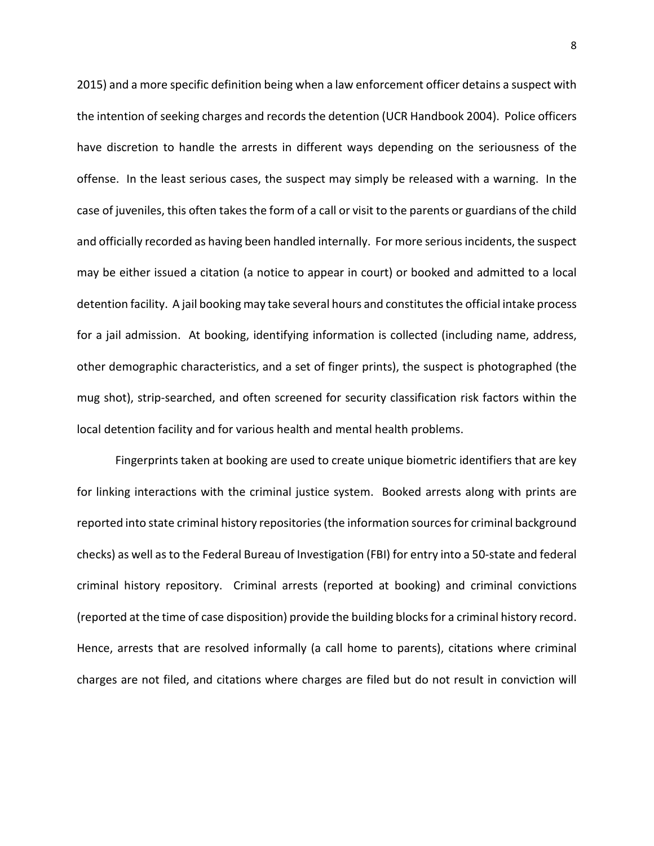2015) and a more specific definition being when a law enforcement officer detains a suspect with the intention of seeking charges and records the detention (UCR Handbook 2004). Police officers have discretion to handle the arrests in different ways depending on the seriousness of the offense. In the least serious cases, the suspect may simply be released with a warning. In the case of juveniles, this often takes the form of a call or visit to the parents or guardians of the child and officially recorded as having been handled internally. For more serious incidents, the suspect may be either issued a citation (a notice to appear in court) or booked and admitted to a local detention facility. A jail booking may take several hours and constitutes the official intake process for a jail admission. At booking, identifying information is collected (including name, address, other demographic characteristics, and a set of finger prints), the suspect is photographed (the mug shot), strip-searched, and often screened for security classification risk factors within the local detention facility and for various health and mental health problems.

Fingerprints taken at booking are used to create unique biometric identifiers that are key for linking interactions with the criminal justice system. Booked arrests along with prints are reported into state criminal history repositories (the information sources for criminal background checks) as well as to the Federal Bureau of Investigation (FBI) for entry into a 50-state and federal criminal history repository. Criminal arrests (reported at booking) and criminal convictions (reported at the time of case disposition) provide the building blocks for a criminal history record. Hence, arrests that are resolved informally (a call home to parents), citations where criminal charges are not filed, and citations where charges are filed but do not result in conviction will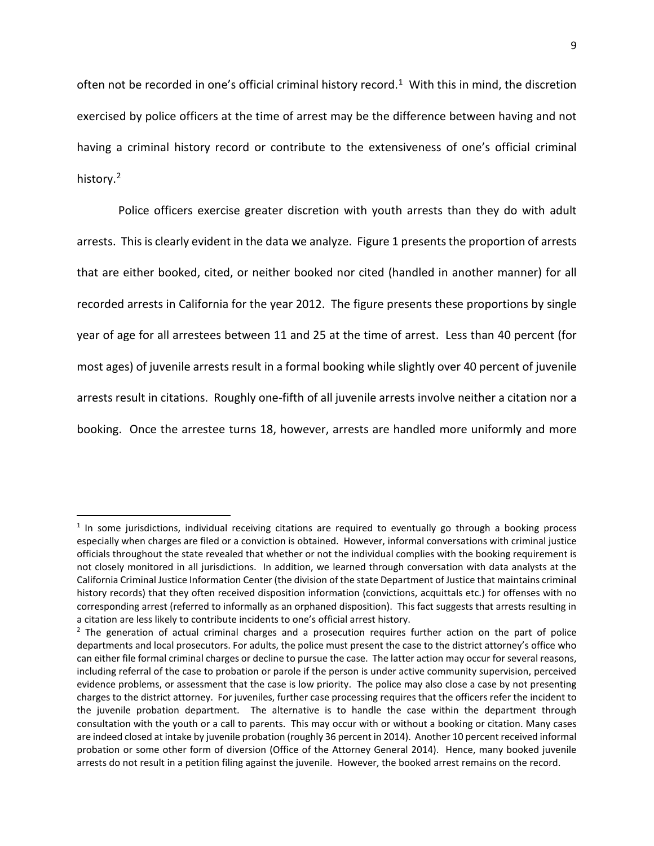often not be recorded in one's official criminal history record.<sup>[1](#page-8-0)</sup> With this in mind, the discretion exercised by police officers at the time of arrest may be the difference between having and not having a criminal history record or contribute to the extensiveness of one's official criminal history.<sup>[2](#page-8-1)</sup>

Police officers exercise greater discretion with youth arrests than they do with adult arrests. This is clearly evident in the data we analyze. Figure 1 presents the proportion of arrests that are either booked, cited, or neither booked nor cited (handled in another manner) for all recorded arrests in California for the year 2012. The figure presents these proportions by single year of age for all arrestees between 11 and 25 at the time of arrest. Less than 40 percent (for most ages) of juvenile arrests result in a formal booking while slightly over 40 percent of juvenile arrests result in citations. Roughly one-fifth of all juvenile arrests involve neither a citation nor a booking. Once the arrestee turns 18, however, arrests are handled more uniformly and more

<span id="page-8-0"></span> $<sup>1</sup>$  In some jurisdictions, individual receiving citations are required to eventually go through a booking process</sup> especially when charges are filed or a conviction is obtained. However, informal conversations with criminal justice officials throughout the state revealed that whether or not the individual complies with the booking requirement is not closely monitored in all jurisdictions. In addition, we learned through conversation with data analysts at the California Criminal Justice Information Center (the division of the state Department of Justice that maintains criminal history records) that they often received disposition information (convictions, acquittals etc.) for offenses with no corresponding arrest (referred to informally as an orphaned disposition). This fact suggests that arrests resulting in a citation are less likely to contribute incidents to one's official arrest history.

<span id="page-8-1"></span><sup>&</sup>lt;sup>2</sup> The generation of actual criminal charges and a prosecution requires further action on the part of police departments and local prosecutors. For adults, the police must present the case to the district attorney's office who can either file formal criminal charges or decline to pursue the case. The latter action may occur for several reasons, including referral of the case to probation or parole if the person is under active community supervision, perceived evidence problems, or assessment that the case is low priority. The police may also close a case by not presenting charges to the district attorney. For juveniles, further case processing requires that the officers refer the incident to the juvenile probation department. The alternative is to handle the case within the department through consultation with the youth or a call to parents. This may occur with or without a booking or citation. Many cases are indeed closed at intake by juvenile probation (roughly 36 percent in 2014). Another 10 percent received informal probation or some other form of diversion (Office of the Attorney General 2014). Hence, many booked juvenile arrests do not result in a petition filing against the juvenile. However, the booked arrest remains on the record.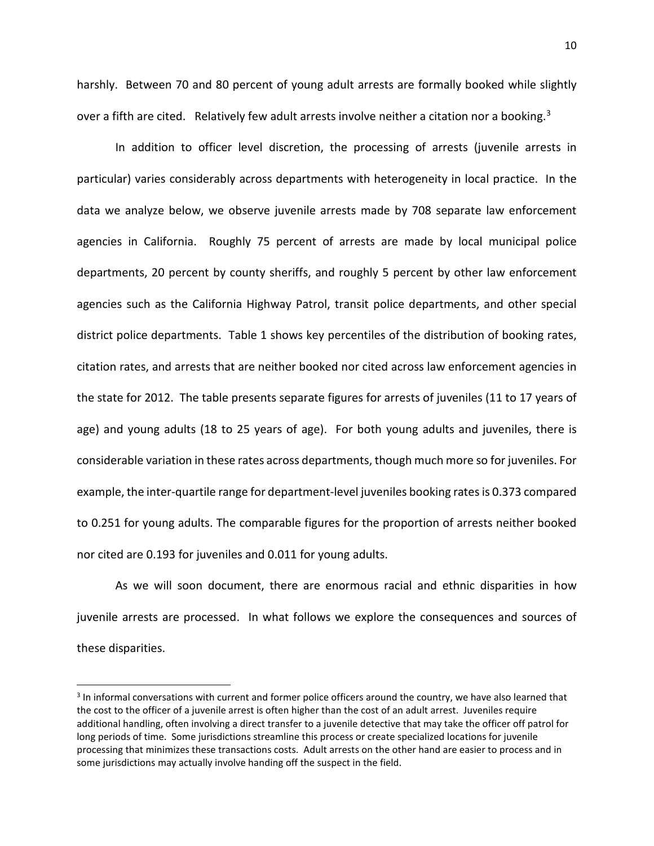harshly. Between 70 and 80 percent of young adult arrests are formally booked while slightly over a fifth are cited. Relatively few adult arrests involve neither a citation nor a booking.<sup>[3](#page-9-0)</sup>

In addition to officer level discretion, the processing of arrests (juvenile arrests in particular) varies considerably across departments with heterogeneity in local practice. In the data we analyze below, we observe juvenile arrests made by 708 separate law enforcement agencies in California. Roughly 75 percent of arrests are made by local municipal police departments, 20 percent by county sheriffs, and roughly 5 percent by other law enforcement agencies such as the California Highway Patrol, transit police departments, and other special district police departments. Table 1 shows key percentiles of the distribution of booking rates, citation rates, and arrests that are neither booked nor cited across law enforcement agencies in the state for 2012. The table presents separate figures for arrests of juveniles (11 to 17 years of age) and young adults (18 to 25 years of age). For both young adults and juveniles, there is considerable variation in these rates across departments, though much more so for juveniles. For example, the inter-quartile range for department-level juveniles booking rates is 0.373 compared to 0.251 for young adults. The comparable figures for the proportion of arrests neither booked nor cited are 0.193 for juveniles and 0.011 for young adults.

As we will soon document, there are enormous racial and ethnic disparities in how juvenile arrests are processed. In what follows we explore the consequences and sources of these disparities.

<span id="page-9-0"></span><sup>&</sup>lt;sup>3</sup> In informal conversations with current and former police officers around the country, we have also learned that the cost to the officer of a juvenile arrest is often higher than the cost of an adult arrest. Juveniles require additional handling, often involving a direct transfer to a juvenile detective that may take the officer off patrol for long periods of time. Some jurisdictions streamline this process or create specialized locations for juvenile processing that minimizes these transactions costs. Adult arrests on the other hand are easier to process and in some jurisdictions may actually involve handing off the suspect in the field.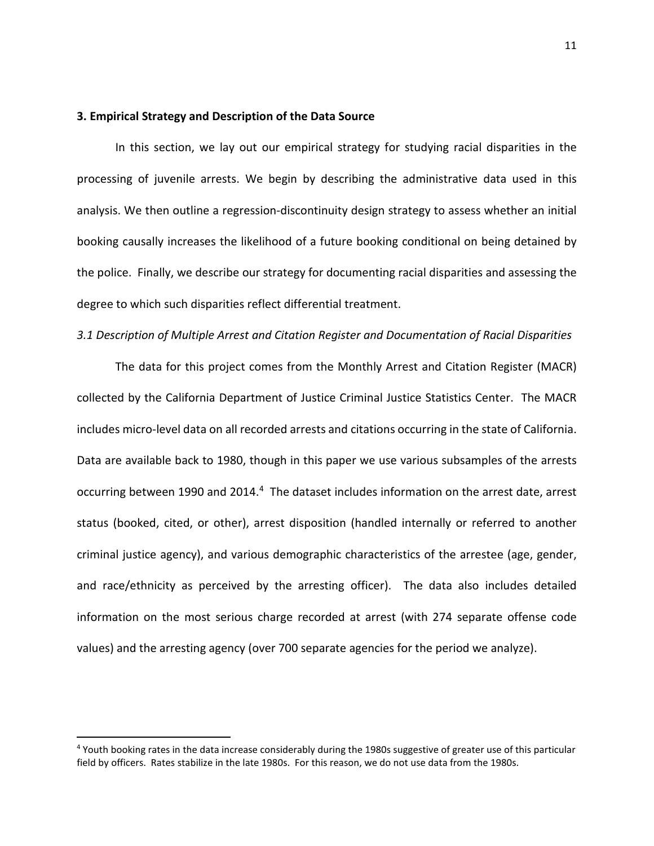### **3. Empirical Strategy and Description of the Data Source**

In this section, we lay out our empirical strategy for studying racial disparities in the processing of juvenile arrests. We begin by describing the administrative data used in this analysis. We then outline a regression-discontinuity design strategy to assess whether an initial booking causally increases the likelihood of a future booking conditional on being detained by the police. Finally, we describe our strategy for documenting racial disparities and assessing the degree to which such disparities reflect differential treatment.

### *3.1 Description of Multiple Arrest and Citation Register and Documentation of Racial Disparities*

The data for this project comes from the Monthly Arrest and Citation Register (MACR) collected by the California Department of Justice Criminal Justice Statistics Center. The MACR includes micro-level data on all recorded arrests and citations occurring in the state of California. Data are available back to 1980, though in this paper we use various subsamples of the arrests occurring between 1990 and 201[4](#page-10-0).<sup>4</sup> The dataset includes information on the arrest date, arrest status (booked, cited, or other), arrest disposition (handled internally or referred to another criminal justice agency), and various demographic characteristics of the arrestee (age, gender, and race/ethnicity as perceived by the arresting officer). The data also includes detailed information on the most serious charge recorded at arrest (with 274 separate offense code values) and the arresting agency (over 700 separate agencies for the period we analyze).

<span id="page-10-0"></span> <sup>4</sup> Youth booking rates in the data increase considerably during the 1980s suggestive of greater use of this particular field by officers. Rates stabilize in the late 1980s. For this reason, we do not use data from the 1980s.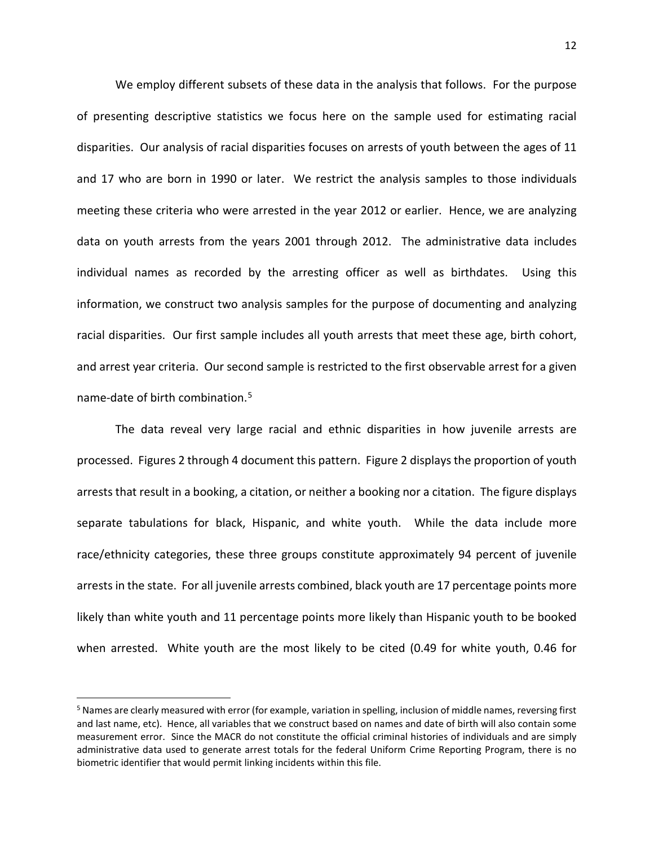We employ different subsets of these data in the analysis that follows. For the purpose of presenting descriptive statistics we focus here on the sample used for estimating racial disparities. Our analysis of racial disparities focuses on arrests of youth between the ages of 11 and 17 who are born in 1990 or later. We restrict the analysis samples to those individuals meeting these criteria who were arrested in the year 2012 or earlier. Hence, we are analyzing data on youth arrests from the years 2001 through 2012. The administrative data includes individual names as recorded by the arresting officer as well as birthdates. Using this information, we construct two analysis samples for the purpose of documenting and analyzing racial disparities. Our first sample includes all youth arrests that meet these age, birth cohort, and arrest year criteria. Our second sample is restricted to the first observable arrest for a given name-date of birth combination.[5](#page-11-0)

The data reveal very large racial and ethnic disparities in how juvenile arrests are processed. Figures 2 through 4 document this pattern. Figure 2 displays the proportion of youth arrests that result in a booking, a citation, or neither a booking nor a citation. The figure displays separate tabulations for black, Hispanic, and white youth. While the data include more race/ethnicity categories, these three groups constitute approximately 94 percent of juvenile arrests in the state. For all juvenile arrests combined, black youth are 17 percentage points more likely than white youth and 11 percentage points more likely than Hispanic youth to be booked when arrested. White youth are the most likely to be cited (0.49 for white youth, 0.46 for

<span id="page-11-0"></span> <sup>5</sup> Names are clearly measured with error (for example, variation in spelling, inclusion of middle names, reversing first and last name, etc). Hence, all variables that we construct based on names and date of birth will also contain some measurement error. Since the MACR do not constitute the official criminal histories of individuals and are simply administrative data used to generate arrest totals for the federal Uniform Crime Reporting Program, there is no biometric identifier that would permit linking incidents within this file.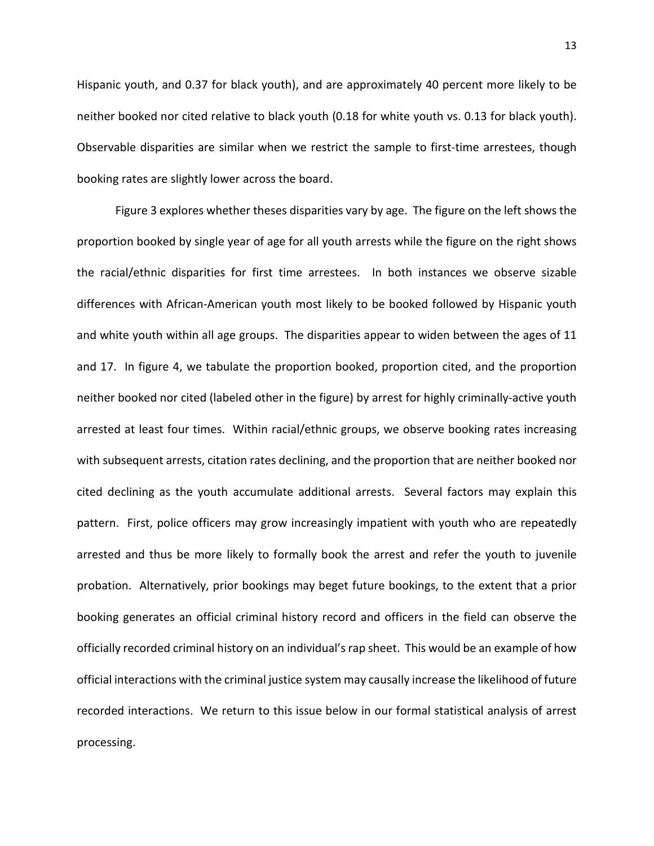Hispanic youth, and 0.37 for black youth), and are approximately 40 percent more likely to be neither booked nor cited relative to black youth (0.18 for white youth vs. 0.13 for black youth). Observable disparities are similar when we restrict the sample to first-time arrestees, though booking rates are slightly lower across the board.

Figure 3 explores whether theses disparities vary by age. The figure on the left shows the proportion booked by single year of age for all youth arrests while the figure on the right shows the racial/ethnic disparities for first time arrestees. In both instances we observe sizable differences with African-American youth most likely to be booked followed by Hispanic youth and white youth within all age groups. The disparities appear to widen between the ages of 11 and 17. In figure 4, we tabulate the proportion booked, proportion cited, and the proportion neither booked nor cited (labeled other in the figure) by arrest for highly criminally-active youth arrested at least four times. Within racial/ethnic groups, we observe booking rates increasing with subsequent arrests, citation rates declining, and the proportion that are neither booked nor cited declining as the youth accumulate additional arrests. Several factors may explain this pattern. First, police officers may grow increasingly impatient with youth who are repeatedly arrested and thus be more likely to formally book the arrest and refer the youth to juvenile probation. Alternatively, prior bookings may beget future bookings, to the extent that a prior booking generates an official criminal history record and officers in the field can observe the officially recorded criminal history on an individual's rap sheet. This would be an example of how official interactions with the criminal justice system may causally increase the likelihood of future recorded interactions. We return to this issue below in our formal statistical analysis of arrest processing.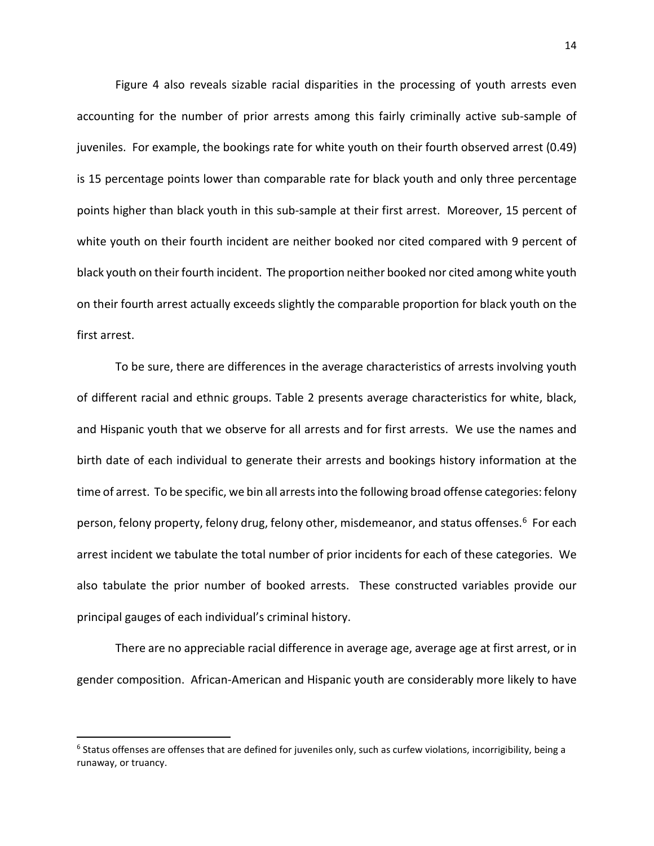Figure 4 also reveals sizable racial disparities in the processing of youth arrests even accounting for the number of prior arrests among this fairly criminally active sub-sample of juveniles. For example, the bookings rate for white youth on their fourth observed arrest (0.49) is 15 percentage points lower than comparable rate for black youth and only three percentage points higher than black youth in this sub-sample at their first arrest. Moreover, 15 percent of white youth on their fourth incident are neither booked nor cited compared with 9 percent of black youth on their fourth incident. The proportion neither booked nor cited among white youth on their fourth arrest actually exceeds slightly the comparable proportion for black youth on the first arrest.

To be sure, there are differences in the average characteristics of arrests involving youth of different racial and ethnic groups. Table 2 presents average characteristics for white, black, and Hispanic youth that we observe for all arrests and for first arrests. We use the names and birth date of each individual to generate their arrests and bookings history information at the time of arrest. To be specific, we bin all arrestsinto the following broad offense categories: felony person, felony property, felony drug, felony other, misdemeanor, and status offenses.<sup>6</sup> For each arrest incident we tabulate the total number of prior incidents for each of these categories. We also tabulate the prior number of booked arrests. These constructed variables provide our principal gauges of each individual's criminal history.

There are no appreciable racial difference in average age, average age at first arrest, or in gender composition. African-American and Hispanic youth are considerably more likely to have

<span id="page-13-0"></span> $6$  Status offenses are offenses that are defined for juveniles only, such as curfew violations, incorrigibility, being a runaway, or truancy.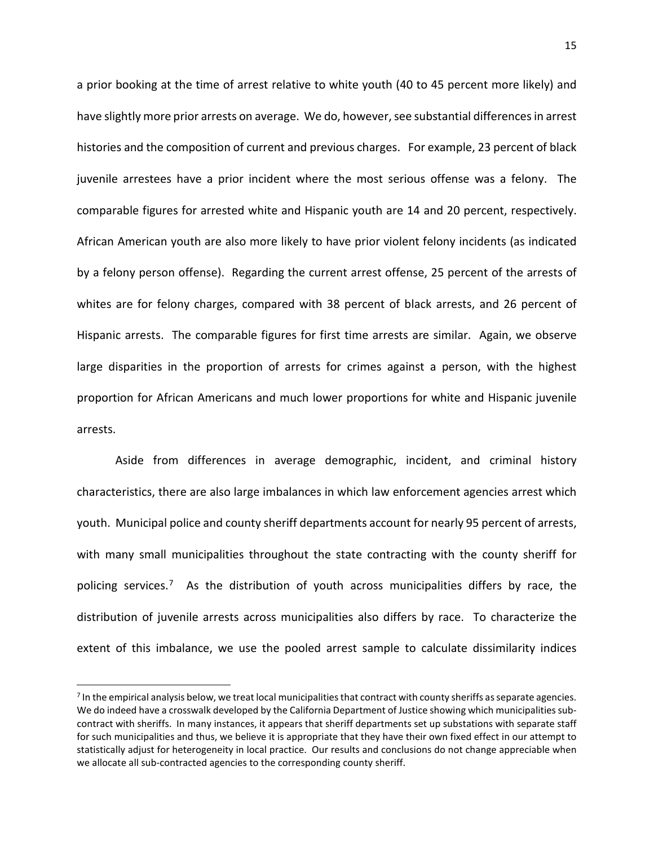a prior booking at the time of arrest relative to white youth (40 to 45 percent more likely) and have slightly more prior arrests on average. We do, however, see substantial differences in arrest histories and the composition of current and previous charges. For example, 23 percent of black juvenile arrestees have a prior incident where the most serious offense was a felony. The comparable figures for arrested white and Hispanic youth are 14 and 20 percent, respectively. African American youth are also more likely to have prior violent felony incidents (as indicated by a felony person offense). Regarding the current arrest offense, 25 percent of the arrests of whites are for felony charges, compared with 38 percent of black arrests, and 26 percent of Hispanic arrests. The comparable figures for first time arrests are similar. Again, we observe large disparities in the proportion of arrests for crimes against a person, with the highest proportion for African Americans and much lower proportions for white and Hispanic juvenile arrests.

Aside from differences in average demographic, incident, and criminal history characteristics, there are also large imbalances in which law enforcement agencies arrest which youth. Municipal police and county sheriff departments account for nearly 95 percent of arrests, with many small municipalities throughout the state contracting with the county sheriff for policing services.[7](#page-14-0) As the distribution of youth across municipalities differs by race, the distribution of juvenile arrests across municipalities also differs by race. To characterize the extent of this imbalance, we use the pooled arrest sample to calculate dissimilarity indices

<span id="page-14-0"></span><sup>&</sup>lt;sup>7</sup> In the empirical analysis below, we treat local municipalities that contract with county sheriffs as separate agencies. We do indeed have a crosswalk developed by the California Department of Justice showing which municipalities subcontract with sheriffs. In many instances, it appears that sheriff departments set up substations with separate staff for such municipalities and thus, we believe it is appropriate that they have their own fixed effect in our attempt to statistically adjust for heterogeneity in local practice. Our results and conclusions do not change appreciable when we allocate all sub-contracted agencies to the corresponding county sheriff.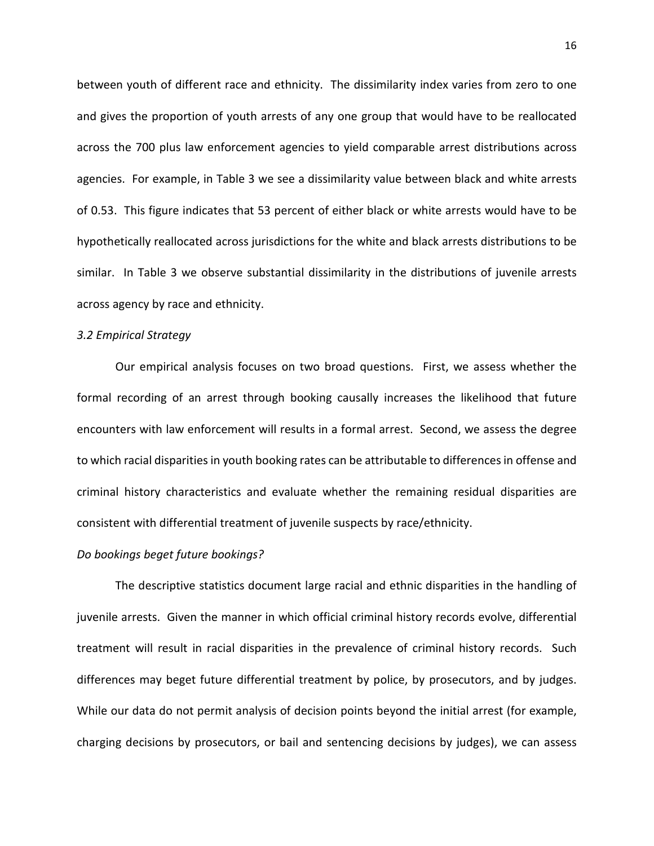between youth of different race and ethnicity. The dissimilarity index varies from zero to one and gives the proportion of youth arrests of any one group that would have to be reallocated across the 700 plus law enforcement agencies to yield comparable arrest distributions across agencies. For example, in Table 3 we see a dissimilarity value between black and white arrests of 0.53. This figure indicates that 53 percent of either black or white arrests would have to be hypothetically reallocated across jurisdictions for the white and black arrests distributions to be similar. In Table 3 we observe substantial dissimilarity in the distributions of juvenile arrests across agency by race and ethnicity.

### *3.2 Empirical Strategy*

Our empirical analysis focuses on two broad questions. First, we assess whether the formal recording of an arrest through booking causally increases the likelihood that future encounters with law enforcement will results in a formal arrest. Second, we assess the degree to which racial disparities in youth booking rates can be attributable to differences in offense and criminal history characteristics and evaluate whether the remaining residual disparities are consistent with differential treatment of juvenile suspects by race/ethnicity.

## *Do bookings beget future bookings?*

The descriptive statistics document large racial and ethnic disparities in the handling of juvenile arrests. Given the manner in which official criminal history records evolve, differential treatment will result in racial disparities in the prevalence of criminal history records. Such differences may beget future differential treatment by police, by prosecutors, and by judges. While our data do not permit analysis of decision points beyond the initial arrest (for example, charging decisions by prosecutors, or bail and sentencing decisions by judges), we can assess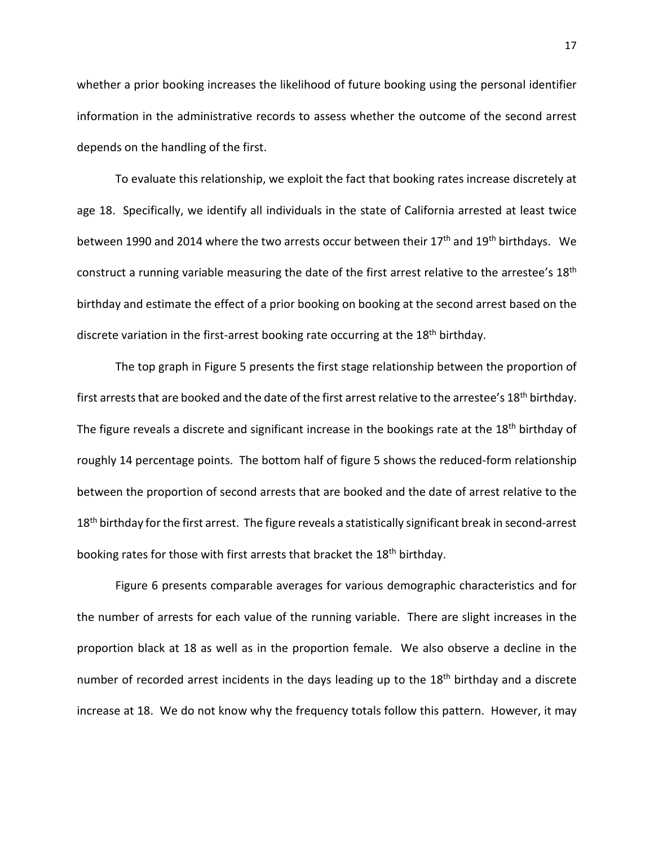whether a prior booking increases the likelihood of future booking using the personal identifier information in the administrative records to assess whether the outcome of the second arrest depends on the handling of the first.

To evaluate this relationship, we exploit the fact that booking rates increase discretely at age 18. Specifically, we identify all individuals in the state of California arrested at least twice between 1990 and 2014 where the two arrests occur between their 17<sup>th</sup> and 19<sup>th</sup> birthdays. We construct a running variable measuring the date of the first arrest relative to the arrestee's 18<sup>th</sup> birthday and estimate the effect of a prior booking on booking at the second arrest based on the discrete variation in the first-arrest booking rate occurring at the 18<sup>th</sup> birthday.

The top graph in Figure 5 presents the first stage relationship between the proportion of first arrests that are booked and the date of the first arrest relative to the arrestee's 18<sup>th</sup> birthday. The figure reveals a discrete and significant increase in the bookings rate at the 18<sup>th</sup> birthday of roughly 14 percentage points. The bottom half of figure 5 shows the reduced-form relationship between the proportion of second arrests that are booked and the date of arrest relative to the 18<sup>th</sup> birthday for the first arrest. The figure reveals a statistically significant break in second-arrest booking rates for those with first arrests that bracket the 18<sup>th</sup> birthday.

Figure 6 presents comparable averages for various demographic characteristics and for the number of arrests for each value of the running variable. There are slight increases in the proportion black at 18 as well as in the proportion female. We also observe a decline in the number of recorded arrest incidents in the days leading up to the 18<sup>th</sup> birthday and a discrete increase at 18. We do not know why the frequency totals follow this pattern. However, it may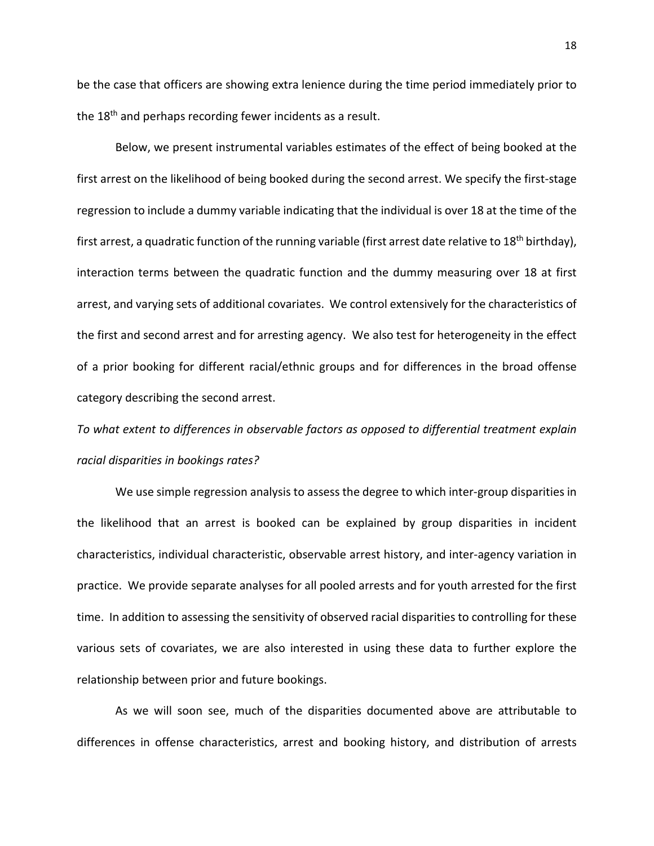be the case that officers are showing extra lenience during the time period immediately prior to the 18<sup>th</sup> and perhaps recording fewer incidents as a result.

Below, we present instrumental variables estimates of the effect of being booked at the first arrest on the likelihood of being booked during the second arrest. We specify the first-stage regression to include a dummy variable indicating that the individual is over 18 at the time of the first arrest, a quadratic function of the running variable (first arrest date relative to 18<sup>th</sup> birthday), interaction terms between the quadratic function and the dummy measuring over 18 at first arrest, and varying sets of additional covariates. We control extensively for the characteristics of the first and second arrest and for arresting agency. We also test for heterogeneity in the effect of a prior booking for different racial/ethnic groups and for differences in the broad offense category describing the second arrest.

*To what extent to differences in observable factors as opposed to differential treatment explain racial disparities in bookings rates?*

We use simple regression analysis to assess the degree to which inter-group disparities in the likelihood that an arrest is booked can be explained by group disparities in incident characteristics, individual characteristic, observable arrest history, and inter-agency variation in practice. We provide separate analyses for all pooled arrests and for youth arrested for the first time. In addition to assessing the sensitivity of observed racial disparities to controlling for these various sets of covariates, we are also interested in using these data to further explore the relationship between prior and future bookings.

As we will soon see, much of the disparities documented above are attributable to differences in offense characteristics, arrest and booking history, and distribution of arrests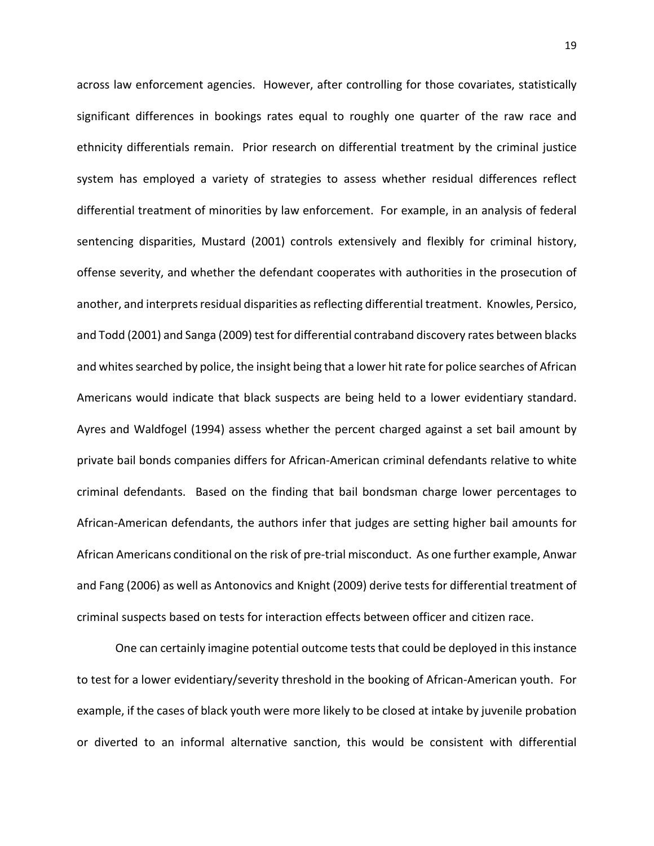across law enforcement agencies. However, after controlling for those covariates, statistically significant differences in bookings rates equal to roughly one quarter of the raw race and ethnicity differentials remain. Prior research on differential treatment by the criminal justice system has employed a variety of strategies to assess whether residual differences reflect differential treatment of minorities by law enforcement. For example, in an analysis of federal sentencing disparities, Mustard (2001) controls extensively and flexibly for criminal history, offense severity, and whether the defendant cooperates with authorities in the prosecution of another, and interprets residual disparities as reflecting differential treatment. Knowles, Persico, and Todd (2001) and Sanga (2009) test for differential contraband discovery rates between blacks and whites searched by police, the insight being that a lower hit rate for police searches of African Americans would indicate that black suspects are being held to a lower evidentiary standard. Ayres and Waldfogel (1994) assess whether the percent charged against a set bail amount by private bail bonds companies differs for African-American criminal defendants relative to white criminal defendants. Based on the finding that bail bondsman charge lower percentages to African-American defendants, the authors infer that judges are setting higher bail amounts for African Americans conditional on the risk of pre-trial misconduct. As one further example, Anwar and Fang (2006) as well as Antonovics and Knight (2009) derive tests for differential treatment of criminal suspects based on tests for interaction effects between officer and citizen race.

 One can certainly imagine potential outcome tests that could be deployed in this instance to test for a lower evidentiary/severity threshold in the booking of African-American youth. For example, if the cases of black youth were more likely to be closed at intake by juvenile probation or diverted to an informal alternative sanction, this would be consistent with differential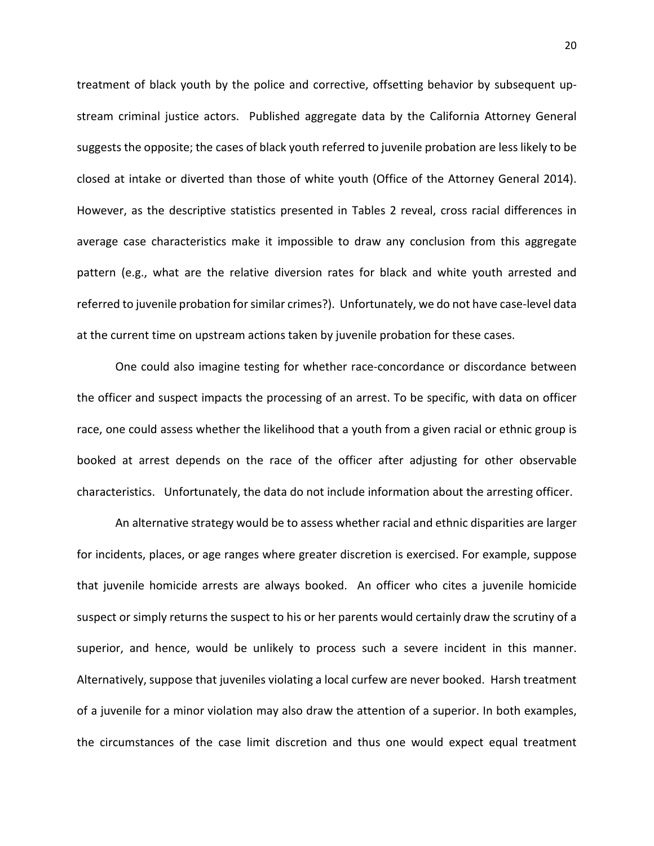treatment of black youth by the police and corrective, offsetting behavior by subsequent upstream criminal justice actors. Published aggregate data by the California Attorney General suggests the opposite; the cases of black youth referred to juvenile probation are less likely to be closed at intake or diverted than those of white youth (Office of the Attorney General 2014). However, as the descriptive statistics presented in Tables 2 reveal, cross racial differences in average case characteristics make it impossible to draw any conclusion from this aggregate pattern (e.g., what are the relative diversion rates for black and white youth arrested and referred to juvenile probation for similar crimes?). Unfortunately, we do not have case-level data at the current time on upstream actions taken by juvenile probation for these cases.

One could also imagine testing for whether race-concordance or discordance between the officer and suspect impacts the processing of an arrest. To be specific, with data on officer race, one could assess whether the likelihood that a youth from a given racial or ethnic group is booked at arrest depends on the race of the officer after adjusting for other observable characteristics. Unfortunately, the data do not include information about the arresting officer.

An alternative strategy would be to assess whether racial and ethnic disparities are larger for incidents, places, or age ranges where greater discretion is exercised. For example, suppose that juvenile homicide arrests are always booked. An officer who cites a juvenile homicide suspect or simply returns the suspect to his or her parents would certainly draw the scrutiny of a superior, and hence, would be unlikely to process such a severe incident in this manner. Alternatively, suppose that juveniles violating a local curfew are never booked. Harsh treatment of a juvenile for a minor violation may also draw the attention of a superior. In both examples, the circumstances of the case limit discretion and thus one would expect equal treatment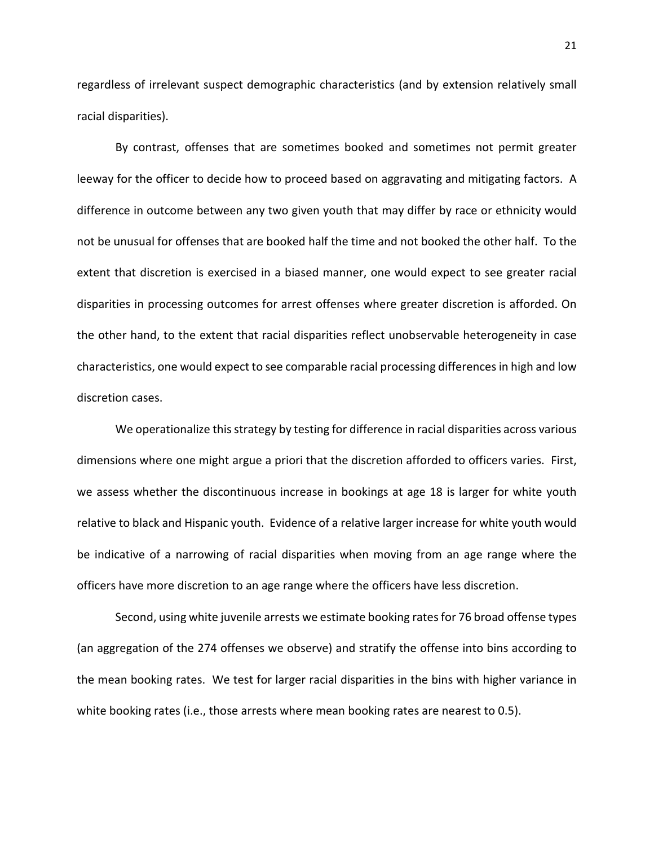regardless of irrelevant suspect demographic characteristics (and by extension relatively small racial disparities).

By contrast, offenses that are sometimes booked and sometimes not permit greater leeway for the officer to decide how to proceed based on aggravating and mitigating factors. A difference in outcome between any two given youth that may differ by race or ethnicity would not be unusual for offenses that are booked half the time and not booked the other half. To the extent that discretion is exercised in a biased manner, one would expect to see greater racial disparities in processing outcomes for arrest offenses where greater discretion is afforded. On the other hand, to the extent that racial disparities reflect unobservable heterogeneity in case characteristics, one would expect to see comparable racial processing differences in high and low discretion cases.

We operationalize this strategy by testing for difference in racial disparities across various dimensions where one might argue a priori that the discretion afforded to officers varies. First, we assess whether the discontinuous increase in bookings at age 18 is larger for white youth relative to black and Hispanic youth. Evidence of a relative larger increase for white youth would be indicative of a narrowing of racial disparities when moving from an age range where the officers have more discretion to an age range where the officers have less discretion.

Second, using white juvenile arrests we estimate booking rates for 76 broad offense types (an aggregation of the 274 offenses we observe) and stratify the offense into bins according to the mean booking rates. We test for larger racial disparities in the bins with higher variance in white booking rates (i.e., those arrests where mean booking rates are nearest to 0.5).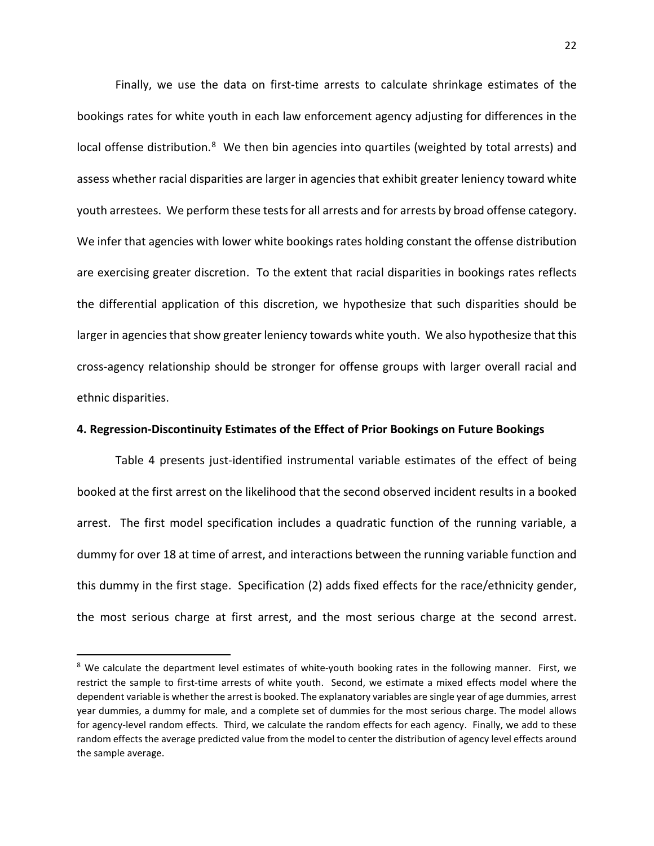Finally, we use the data on first-time arrests to calculate shrinkage estimates of the bookings rates for white youth in each law enforcement agency adjusting for differences in the local offense distribution.<sup>[8](#page-21-0)</sup> We then bin agencies into quartiles (weighted by total arrests) and assess whether racial disparities are larger in agencies that exhibit greater leniency toward white youth arrestees. We perform these tests for all arrests and for arrests by broad offense category. We infer that agencies with lower white bookings rates holding constant the offense distribution are exercising greater discretion. To the extent that racial disparities in bookings rates reflects the differential application of this discretion, we hypothesize that such disparities should be larger in agencies that show greater leniency towards white youth. We also hypothesize that this cross-agency relationship should be stronger for offense groups with larger overall racial and ethnic disparities.

## **4. Regression-Discontinuity Estimates of the Effect of Prior Bookings on Future Bookings**

Table 4 presents just-identified instrumental variable estimates of the effect of being booked at the first arrest on the likelihood that the second observed incident results in a booked arrest. The first model specification includes a quadratic function of the running variable, a dummy for over 18 at time of arrest, and interactions between the running variable function and this dummy in the first stage. Specification (2) adds fixed effects for the race/ethnicity gender, the most serious charge at first arrest, and the most serious charge at the second arrest.

<span id="page-21-0"></span><sup>&</sup>lt;sup>8</sup> We calculate the department level estimates of white-youth booking rates in the following manner. First, we restrict the sample to first-time arrests of white youth. Second, we estimate a mixed effects model where the dependent variable is whether the arrest is booked. The explanatory variables are single year of age dummies, arrest year dummies, a dummy for male, and a complete set of dummies for the most serious charge. The model allows for agency-level random effects. Third, we calculate the random effects for each agency. Finally, we add to these random effects the average predicted value from the model to center the distribution of agency level effects around the sample average.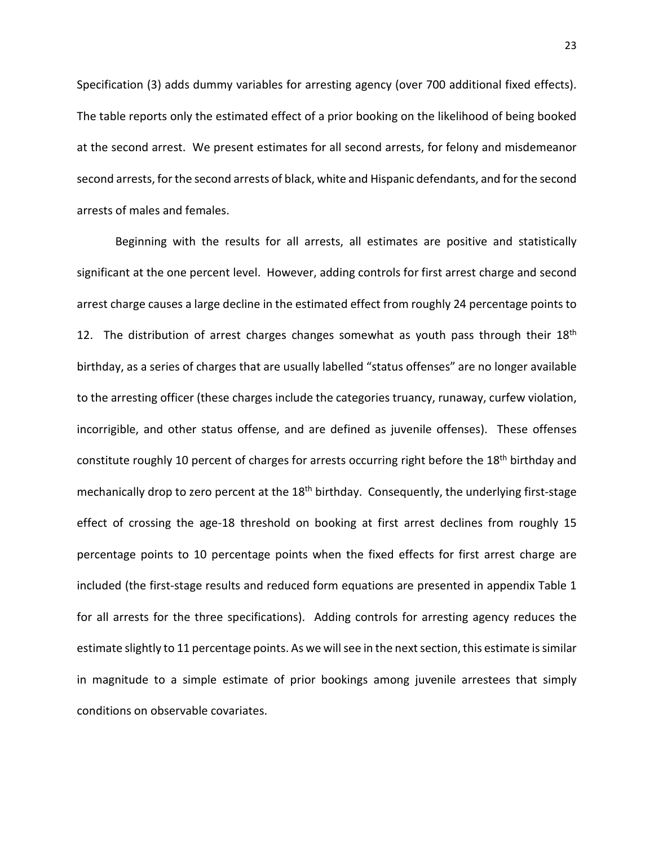Specification (3) adds dummy variables for arresting agency (over 700 additional fixed effects). The table reports only the estimated effect of a prior booking on the likelihood of being booked at the second arrest. We present estimates for all second arrests, for felony and misdemeanor second arrests, for the second arrests of black, white and Hispanic defendants, and for the second arrests of males and females.

Beginning with the results for all arrests, all estimates are positive and statistically significant at the one percent level. However, adding controls for first arrest charge and second arrest charge causes a large decline in the estimated effect from roughly 24 percentage points to 12. The distribution of arrest charges changes somewhat as youth pass through their  $18<sup>th</sup>$ birthday, as a series of charges that are usually labelled "status offenses" are no longer available to the arresting officer (these charges include the categories truancy, runaway, curfew violation, incorrigible, and other status offense, and are defined as juvenile offenses). These offenses constitute roughly 10 percent of charges for arrests occurring right before the 18<sup>th</sup> birthday and mechanically drop to zero percent at the 18<sup>th</sup> birthday. Consequently, the underlying first-stage effect of crossing the age-18 threshold on booking at first arrest declines from roughly 15 percentage points to 10 percentage points when the fixed effects for first arrest charge are included (the first-stage results and reduced form equations are presented in appendix Table 1 for all arrests for the three specifications). Adding controls for arresting agency reduces the estimate slightly to 11 percentage points. As we will see in the next section, this estimate is similar in magnitude to a simple estimate of prior bookings among juvenile arrestees that simply conditions on observable covariates.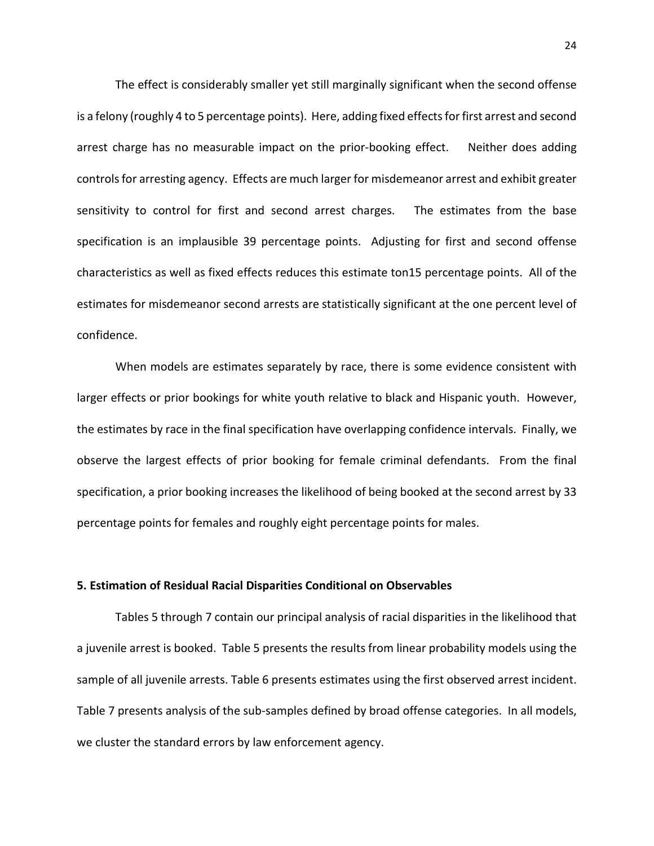The effect is considerably smaller yet still marginally significant when the second offense is a felony (roughly 4 to 5 percentage points). Here, adding fixed effects for first arrest and second arrest charge has no measurable impact on the prior-booking effect. Neither does adding controls for arresting agency. Effects are much larger for misdemeanor arrest and exhibit greater sensitivity to control for first and second arrest charges. The estimates from the base specification is an implausible 39 percentage points. Adjusting for first and second offense characteristics as well as fixed effects reduces this estimate ton15 percentage points. All of the estimates for misdemeanor second arrests are statistically significant at the one percent level of confidence.

When models are estimates separately by race, there is some evidence consistent with larger effects or prior bookings for white youth relative to black and Hispanic youth. However, the estimates by race in the final specification have overlapping confidence intervals. Finally, we observe the largest effects of prior booking for female criminal defendants. From the final specification, a prior booking increases the likelihood of being booked at the second arrest by 33 percentage points for females and roughly eight percentage points for males.

## **5. Estimation of Residual Racial Disparities Conditional on Observables**

Tables 5 through 7 contain our principal analysis of racial disparities in the likelihood that a juvenile arrest is booked. Table 5 presents the results from linear probability models using the sample of all juvenile arrests. Table 6 presents estimates using the first observed arrest incident. Table 7 presents analysis of the sub-samples defined by broad offense categories. In all models, we cluster the standard errors by law enforcement agency.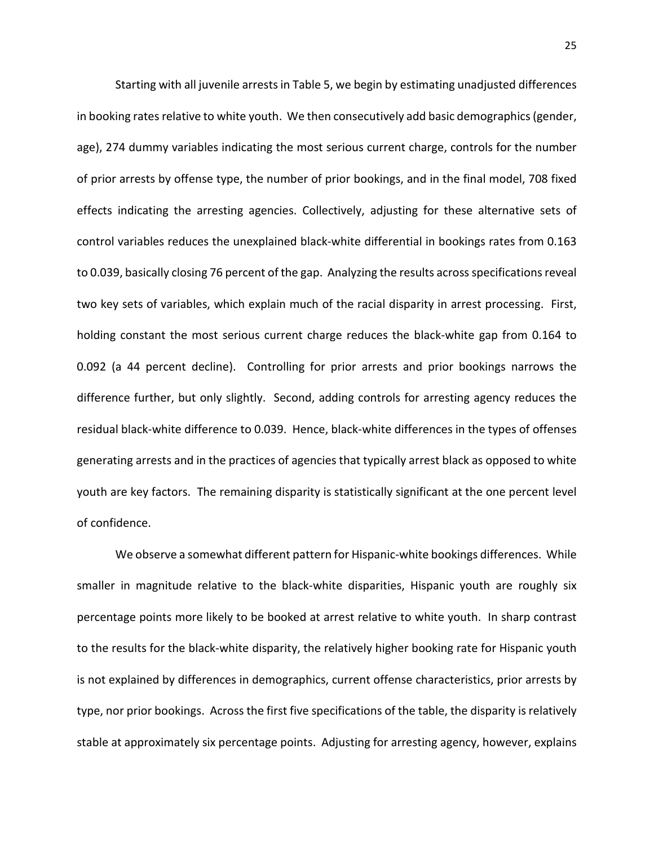Starting with all juvenile arrests in Table 5, we begin by estimating unadjusted differences in booking rates relative to white youth. We then consecutively add basic demographics (gender, age), 274 dummy variables indicating the most serious current charge, controls for the number of prior arrests by offense type, the number of prior bookings, and in the final model, 708 fixed effects indicating the arresting agencies. Collectively, adjusting for these alternative sets of control variables reduces the unexplained black-white differential in bookings rates from 0.163 to 0.039, basically closing 76 percent of the gap. Analyzing the results across specifications reveal two key sets of variables, which explain much of the racial disparity in arrest processing. First, holding constant the most serious current charge reduces the black-white gap from 0.164 to 0.092 (a 44 percent decline). Controlling for prior arrests and prior bookings narrows the difference further, but only slightly. Second, adding controls for arresting agency reduces the residual black-white difference to 0.039. Hence, black-white differences in the types of offenses generating arrests and in the practices of agencies that typically arrest black as opposed to white youth are key factors. The remaining disparity is statistically significant at the one percent level of confidence.

We observe a somewhat different pattern for Hispanic-white bookings differences. While smaller in magnitude relative to the black-white disparities, Hispanic youth are roughly six percentage points more likely to be booked at arrest relative to white youth. In sharp contrast to the results for the black-white disparity, the relatively higher booking rate for Hispanic youth is not explained by differences in demographics, current offense characteristics, prior arrests by type, nor prior bookings. Across the first five specifications of the table, the disparity is relatively stable at approximately six percentage points. Adjusting for arresting agency, however, explains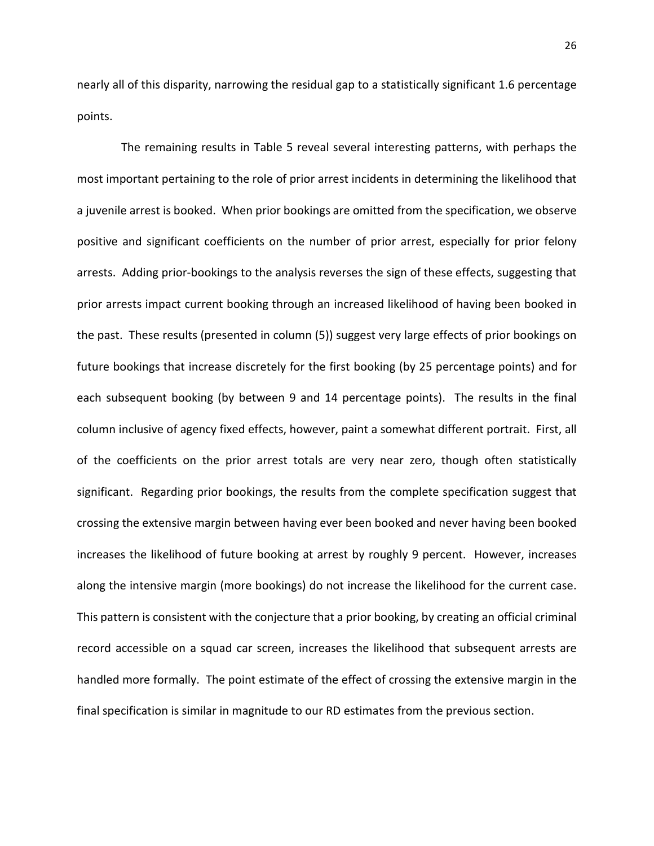nearly all of this disparity, narrowing the residual gap to a statistically significant 1.6 percentage points.

 The remaining results in Table 5 reveal several interesting patterns, with perhaps the most important pertaining to the role of prior arrest incidents in determining the likelihood that a juvenile arrest is booked. When prior bookings are omitted from the specification, we observe positive and significant coefficients on the number of prior arrest, especially for prior felony arrests. Adding prior-bookings to the analysis reverses the sign of these effects, suggesting that prior arrests impact current booking through an increased likelihood of having been booked in the past. These results (presented in column (5)) suggest very large effects of prior bookings on future bookings that increase discretely for the first booking (by 25 percentage points) and for each subsequent booking (by between 9 and 14 percentage points). The results in the final column inclusive of agency fixed effects, however, paint a somewhat different portrait. First, all of the coefficients on the prior arrest totals are very near zero, though often statistically significant. Regarding prior bookings, the results from the complete specification suggest that crossing the extensive margin between having ever been booked and never having been booked increases the likelihood of future booking at arrest by roughly 9 percent. However, increases along the intensive margin (more bookings) do not increase the likelihood for the current case. This pattern is consistent with the conjecture that a prior booking, by creating an official criminal record accessible on a squad car screen, increases the likelihood that subsequent arrests are handled more formally. The point estimate of the effect of crossing the extensive margin in the final specification is similar in magnitude to our RD estimates from the previous section.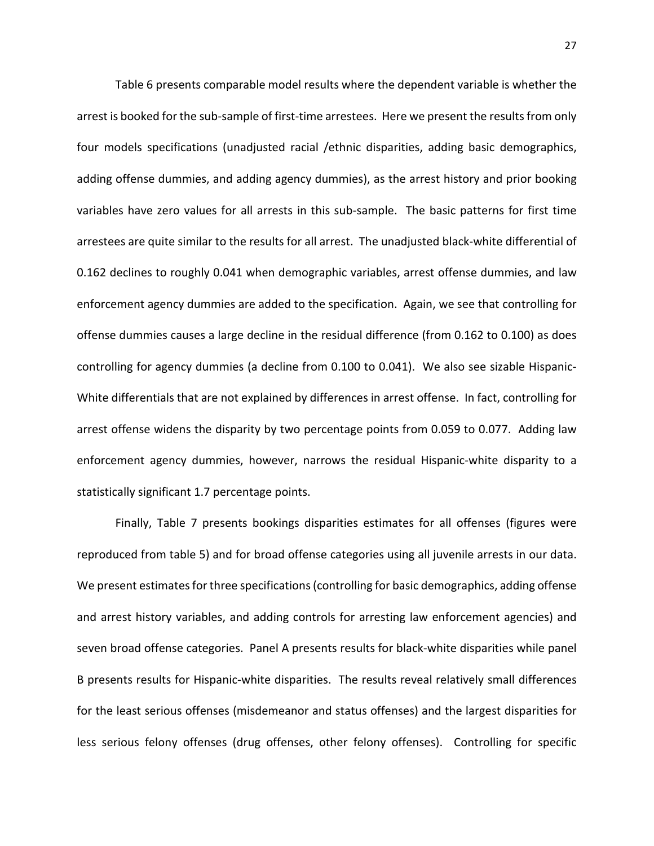Table 6 presents comparable model results where the dependent variable is whether the arrest is booked for the sub-sample of first-time arrestees. Here we present the results from only four models specifications (unadjusted racial /ethnic disparities, adding basic demographics, adding offense dummies, and adding agency dummies), as the arrest history and prior booking variables have zero values for all arrests in this sub-sample. The basic patterns for first time arrestees are quite similar to the results for all arrest. The unadjusted black-white differential of 0.162 declines to roughly 0.041 when demographic variables, arrest offense dummies, and law enforcement agency dummies are added to the specification. Again, we see that controlling for offense dummies causes a large decline in the residual difference (from 0.162 to 0.100) as does controlling for agency dummies (a decline from 0.100 to 0.041). We also see sizable Hispanic-White differentials that are not explained by differences in arrest offense. In fact, controlling for arrest offense widens the disparity by two percentage points from 0.059 to 0.077. Adding law enforcement agency dummies, however, narrows the residual Hispanic-white disparity to a statistically significant 1.7 percentage points.

Finally, Table 7 presents bookings disparities estimates for all offenses (figures were reproduced from table 5) and for broad offense categories using all juvenile arrests in our data. We present estimates for three specifications (controlling for basic demographics, adding offense and arrest history variables, and adding controls for arresting law enforcement agencies) and seven broad offense categories. Panel A presents results for black-white disparities while panel B presents results for Hispanic-white disparities. The results reveal relatively small differences for the least serious offenses (misdemeanor and status offenses) and the largest disparities for less serious felony offenses (drug offenses, other felony offenses). Controlling for specific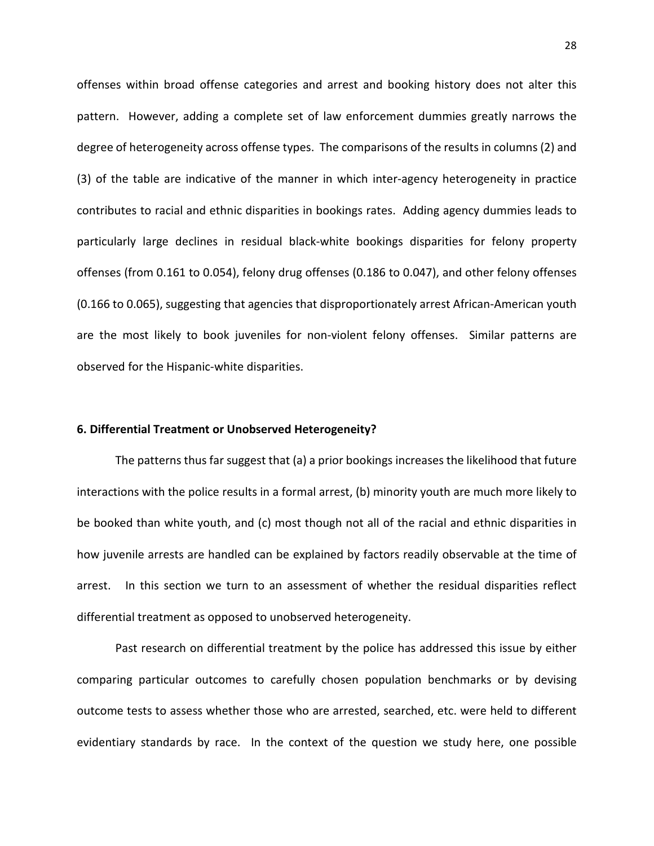offenses within broad offense categories and arrest and booking history does not alter this pattern. However, adding a complete set of law enforcement dummies greatly narrows the degree of heterogeneity across offense types. The comparisons of the results in columns (2) and (3) of the table are indicative of the manner in which inter-agency heterogeneity in practice contributes to racial and ethnic disparities in bookings rates. Adding agency dummies leads to particularly large declines in residual black-white bookings disparities for felony property offenses (from 0.161 to 0.054), felony drug offenses (0.186 to 0.047), and other felony offenses (0.166 to 0.065), suggesting that agencies that disproportionately arrest African-American youth are the most likely to book juveniles for non-violent felony offenses. Similar patterns are observed for the Hispanic-white disparities.

## **6. Differential Treatment or Unobserved Heterogeneity?**

The patterns thus far suggest that (a) a prior bookings increases the likelihood that future interactions with the police results in a formal arrest, (b) minority youth are much more likely to be booked than white youth, and (c) most though not all of the racial and ethnic disparities in how juvenile arrests are handled can be explained by factors readily observable at the time of arrest. In this section we turn to an assessment of whether the residual disparities reflect differential treatment as opposed to unobserved heterogeneity.

Past research on differential treatment by the police has addressed this issue by either comparing particular outcomes to carefully chosen population benchmarks or by devising outcome tests to assess whether those who are arrested, searched, etc. were held to different evidentiary standards by race. In the context of the question we study here, one possible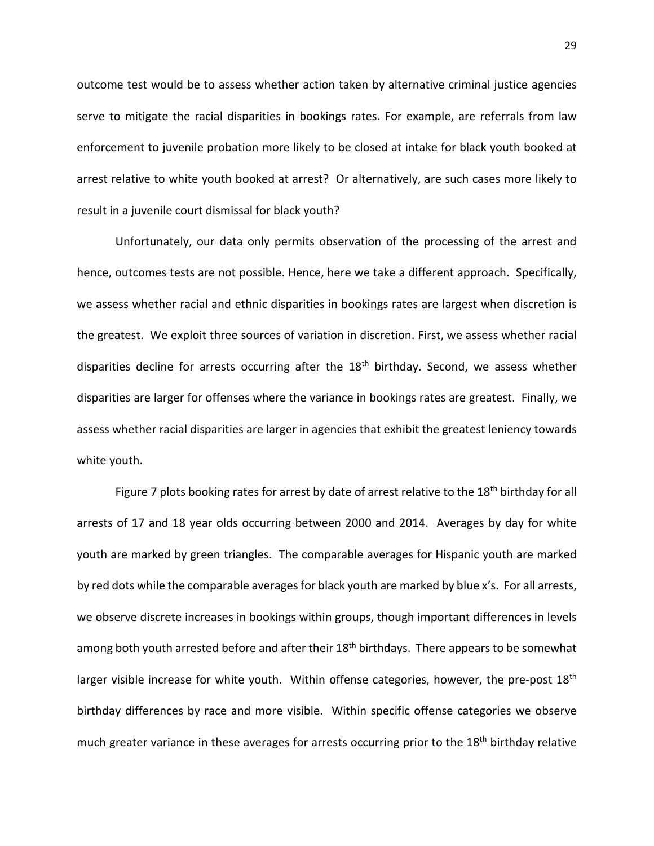outcome test would be to assess whether action taken by alternative criminal justice agencies serve to mitigate the racial disparities in bookings rates. For example, are referrals from law enforcement to juvenile probation more likely to be closed at intake for black youth booked at arrest relative to white youth booked at arrest? Or alternatively, are such cases more likely to result in a juvenile court dismissal for black youth?

Unfortunately, our data only permits observation of the processing of the arrest and hence, outcomes tests are not possible. Hence, here we take a different approach. Specifically, we assess whether racial and ethnic disparities in bookings rates are largest when discretion is the greatest. We exploit three sources of variation in discretion. First, we assess whether racial disparities decline for arrests occurring after the 18<sup>th</sup> birthday. Second, we assess whether disparities are larger for offenses where the variance in bookings rates are greatest. Finally, we assess whether racial disparities are larger in agencies that exhibit the greatest leniency towards white youth.

Figure 7 plots booking rates for arrest by date of arrest relative to the 18<sup>th</sup> birthday for all arrests of 17 and 18 year olds occurring between 2000 and 2014. Averages by day for white youth are marked by green triangles. The comparable averages for Hispanic youth are marked by red dots while the comparable averages for black youth are marked by blue x's. For all arrests, we observe discrete increases in bookings within groups, though important differences in levels among both youth arrested before and after their 18<sup>th</sup> birthdays. There appears to be somewhat larger visible increase for white youth. Within offense categories, however, the pre-post  $18<sup>th</sup>$ birthday differences by race and more visible. Within specific offense categories we observe much greater variance in these averages for arrests occurring prior to the 18<sup>th</sup> birthday relative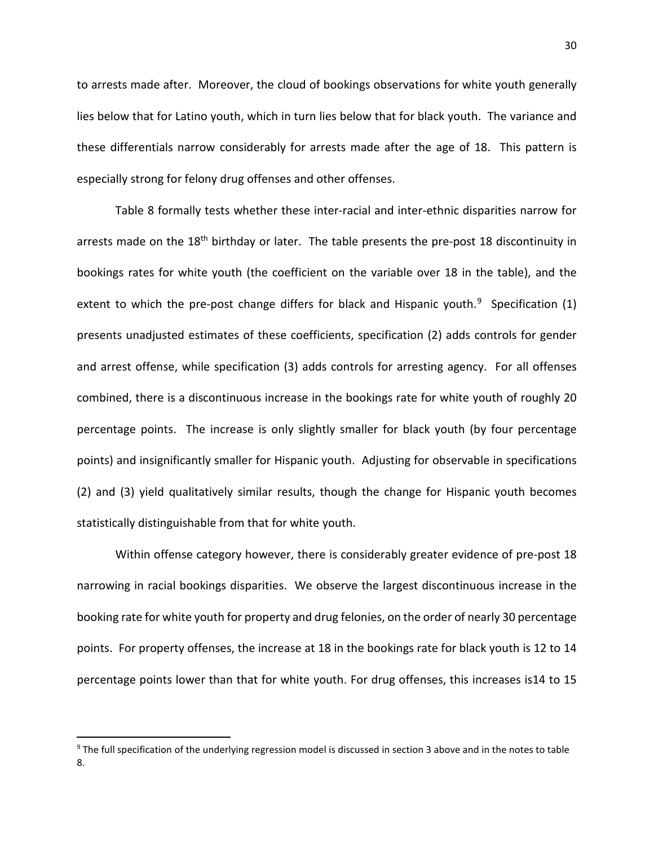to arrests made after. Moreover, the cloud of bookings observations for white youth generally lies below that for Latino youth, which in turn lies below that for black youth. The variance and these differentials narrow considerably for arrests made after the age of 18. This pattern is especially strong for felony drug offenses and other offenses.

Table 8 formally tests whether these inter-racial and inter-ethnic disparities narrow for arrests made on the 18<sup>th</sup> birthday or later. The table presents the pre-post 18 discontinuity in bookings rates for white youth (the coefficient on the variable over 18 in the table), and the extent to which the pre-post change differs for black and Hispanic youth. $9$  Specification (1) presents unadjusted estimates of these coefficients, specification (2) adds controls for gender and arrest offense, while specification (3) adds controls for arresting agency. For all offenses combined, there is a discontinuous increase in the bookings rate for white youth of roughly 20 percentage points. The increase is only slightly smaller for black youth (by four percentage points) and insignificantly smaller for Hispanic youth. Adjusting for observable in specifications (2) and (3) yield qualitatively similar results, though the change for Hispanic youth becomes statistically distinguishable from that for white youth.

Within offense category however, there is considerably greater evidence of pre-post 18 narrowing in racial bookings disparities. We observe the largest discontinuous increase in the booking rate for white youth for property and drug felonies, on the order of nearly 30 percentage points. For property offenses, the increase at 18 in the bookings rate for black youth is 12 to 14 percentage points lower than that for white youth. For drug offenses, this increases is14 to 15

<span id="page-29-0"></span><sup>&</sup>lt;sup>9</sup> The full specification of the underlying regression model is discussed in section 3 above and in the notes to table 8.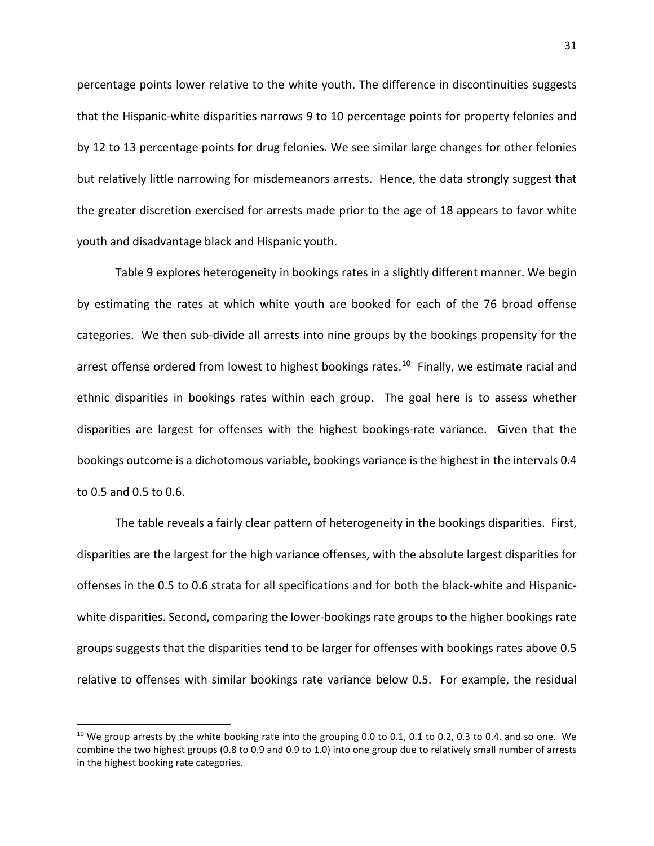percentage points lower relative to the white youth. The difference in discontinuities suggests that the Hispanic-white disparities narrows 9 to 10 percentage points for property felonies and by 12 to 13 percentage points for drug felonies. We see similar large changes for other felonies but relatively little narrowing for misdemeanors arrests. Hence, the data strongly suggest that the greater discretion exercised for arrests made prior to the age of 18 appears to favor white youth and disadvantage black and Hispanic youth.

Table 9 explores heterogeneity in bookings rates in a slightly different manner. We begin by estimating the rates at which white youth are booked for each of the 76 broad offense categories. We then sub-divide all arrests into nine groups by the bookings propensity for the arrest offense ordered from lowest to highest bookings rates.<sup>10</sup> Finally, we estimate racial and ethnic disparities in bookings rates within each group. The goal here is to assess whether disparities are largest for offenses with the highest bookings-rate variance. Given that the bookings outcome is a dichotomous variable, bookings variance is the highest in the intervals 0.4 to 0.5 and 0.5 to 0.6.

The table reveals a fairly clear pattern of heterogeneity in the bookings disparities. First, disparities are the largest for the high variance offenses, with the absolute largest disparities for offenses in the 0.5 to 0.6 strata for all specifications and for both the black-white and Hispanicwhite disparities. Second, comparing the lower-bookings rate groups to the higher bookings rate groups suggests that the disparities tend to be larger for offenses with bookings rates above 0.5 relative to offenses with similar bookings rate variance below 0.5. For example, the residual

<span id="page-30-0"></span> $10$  We group arrests by the white booking rate into the grouping 0.0 to 0.1, 0.1 to 0.2, 0.3 to 0.4. and so one. We combine the two highest groups (0.8 to 0.9 and 0.9 to 1.0) into one group due to relatively small number of arrests in the highest booking rate categories.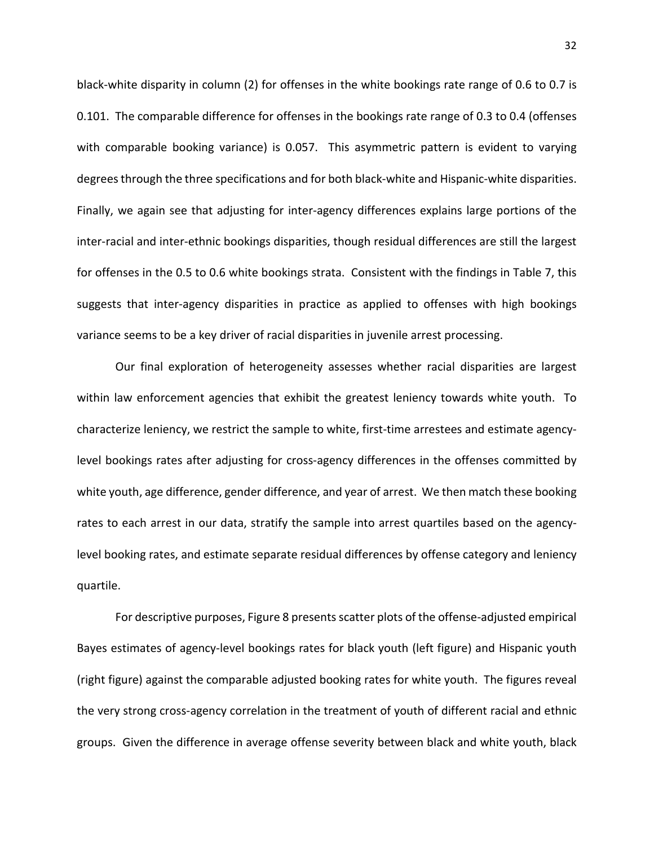black-white disparity in column (2) for offenses in the white bookings rate range of 0.6 to 0.7 is 0.101. The comparable difference for offenses in the bookings rate range of 0.3 to 0.4 (offenses with comparable booking variance) is 0.057. This asymmetric pattern is evident to varying degrees through the three specifications and for both black-white and Hispanic-white disparities. Finally, we again see that adjusting for inter-agency differences explains large portions of the inter-racial and inter-ethnic bookings disparities, though residual differences are still the largest for offenses in the 0.5 to 0.6 white bookings strata. Consistent with the findings in Table 7, this suggests that inter-agency disparities in practice as applied to offenses with high bookings variance seems to be a key driver of racial disparities in juvenile arrest processing.

Our final exploration of heterogeneity assesses whether racial disparities are largest within law enforcement agencies that exhibit the greatest leniency towards white youth. To characterize leniency, we restrict the sample to white, first-time arrestees and estimate agencylevel bookings rates after adjusting for cross-agency differences in the offenses committed by white youth, age difference, gender difference, and year of arrest. We then match these booking rates to each arrest in our data, stratify the sample into arrest quartiles based on the agencylevel booking rates, and estimate separate residual differences by offense category and leniency quartile.

For descriptive purposes, Figure 8 presents scatter plots of the offense-adjusted empirical Bayes estimates of agency-level bookings rates for black youth (left figure) and Hispanic youth (right figure) against the comparable adjusted booking rates for white youth. The figures reveal the very strong cross-agency correlation in the treatment of youth of different racial and ethnic groups. Given the difference in average offense severity between black and white youth, black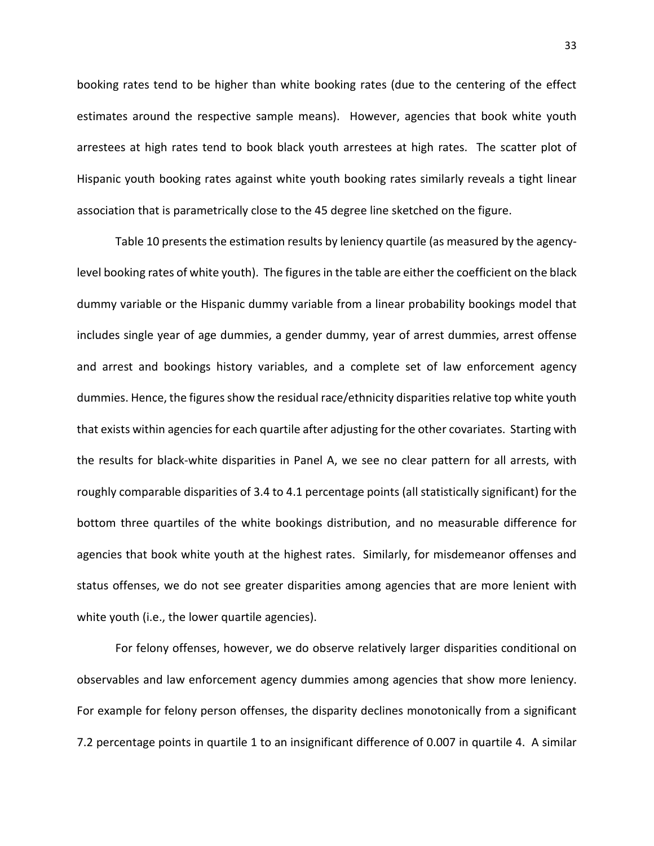booking rates tend to be higher than white booking rates (due to the centering of the effect estimates around the respective sample means). However, agencies that book white youth arrestees at high rates tend to book black youth arrestees at high rates. The scatter plot of Hispanic youth booking rates against white youth booking rates similarly reveals a tight linear association that is parametrically close to the 45 degree line sketched on the figure.

Table 10 presents the estimation results by leniency quartile (as measured by the agencylevel booking rates of white youth). The figures in the table are either the coefficient on the black dummy variable or the Hispanic dummy variable from a linear probability bookings model that includes single year of age dummies, a gender dummy, year of arrest dummies, arrest offense and arrest and bookings history variables, and a complete set of law enforcement agency dummies. Hence, the figures show the residual race/ethnicity disparities relative top white youth that exists within agencies for each quartile after adjusting for the other covariates. Starting with the results for black-white disparities in Panel A, we see no clear pattern for all arrests, with roughly comparable disparities of 3.4 to 4.1 percentage points (all statistically significant) for the bottom three quartiles of the white bookings distribution, and no measurable difference for agencies that book white youth at the highest rates. Similarly, for misdemeanor offenses and status offenses, we do not see greater disparities among agencies that are more lenient with white youth (i.e., the lower quartile agencies).

For felony offenses, however, we do observe relatively larger disparities conditional on observables and law enforcement agency dummies among agencies that show more leniency. For example for felony person offenses, the disparity declines monotonically from a significant 7.2 percentage points in quartile 1 to an insignificant difference of 0.007 in quartile 4. A similar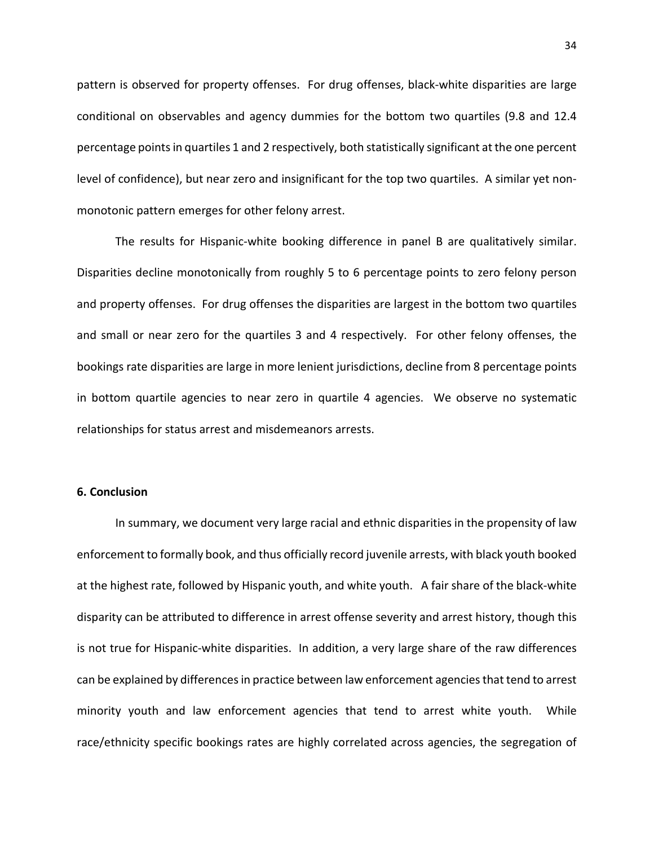pattern is observed for property offenses. For drug offenses, black-white disparities are large conditional on observables and agency dummies for the bottom two quartiles (9.8 and 12.4 percentage points in quartiles 1 and 2 respectively, both statistically significant at the one percent level of confidence), but near zero and insignificant for the top two quartiles. A similar yet nonmonotonic pattern emerges for other felony arrest.

The results for Hispanic-white booking difference in panel B are qualitatively similar. Disparities decline monotonically from roughly 5 to 6 percentage points to zero felony person and property offenses. For drug offenses the disparities are largest in the bottom two quartiles and small or near zero for the quartiles 3 and 4 respectively. For other felony offenses, the bookings rate disparities are large in more lenient jurisdictions, decline from 8 percentage points in bottom quartile agencies to near zero in quartile 4 agencies. We observe no systematic relationships for status arrest and misdemeanors arrests.

## **6. Conclusion**

In summary, we document very large racial and ethnic disparities in the propensity of law enforcement to formally book, and thus officially record juvenile arrests, with black youth booked at the highest rate, followed by Hispanic youth, and white youth. A fair share of the black-white disparity can be attributed to difference in arrest offense severity and arrest history, though this is not true for Hispanic-white disparities. In addition, a very large share of the raw differences can be explained by differences in practice between law enforcement agencies that tend to arrest minority youth and law enforcement agencies that tend to arrest white youth. While race/ethnicity specific bookings rates are highly correlated across agencies, the segregation of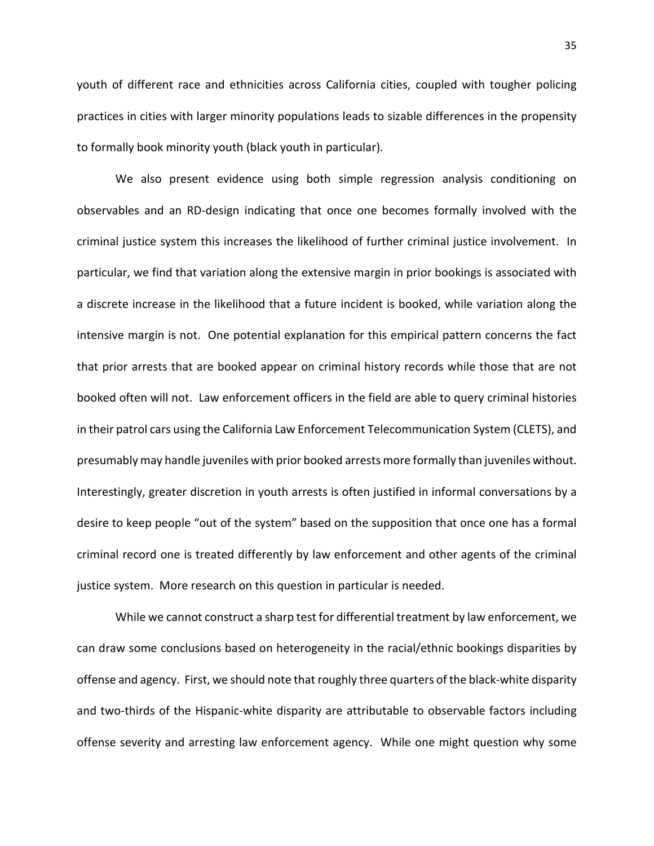youth of different race and ethnicities across California cities, coupled with tougher policing practices in cities with larger minority populations leads to sizable differences in the propensity to formally book minority youth (black youth in particular).

We also present evidence using both simple regression analysis conditioning on observables and an RD-design indicating that once one becomes formally involved with the criminal justice system this increases the likelihood of further criminal justice involvement. In particular, we find that variation along the extensive margin in prior bookings is associated with a discrete increase in the likelihood that a future incident is booked, while variation along the intensive margin is not. One potential explanation for this empirical pattern concerns the fact that prior arrests that are booked appear on criminal history records while those that are not booked often will not. Law enforcement officers in the field are able to query criminal histories in their patrol cars using the California Law Enforcement Telecommunication System (CLETS), and presumably may handle juveniles with prior booked arrests more formally than juveniles without. Interestingly, greater discretion in youth arrests is often justified in informal conversations by a desire to keep people "out of the system" based on the supposition that once one has a formal criminal record one is treated differently by law enforcement and other agents of the criminal justice system. More research on this question in particular is needed.

While we cannot construct a sharp test for differential treatment by law enforcement, we can draw some conclusions based on heterogeneity in the racial/ethnic bookings disparities by offense and agency. First, we should note that roughly three quarters of the black-white disparity and two-thirds of the Hispanic-white disparity are attributable to observable factors including offense severity and arresting law enforcement agency. While one might question why some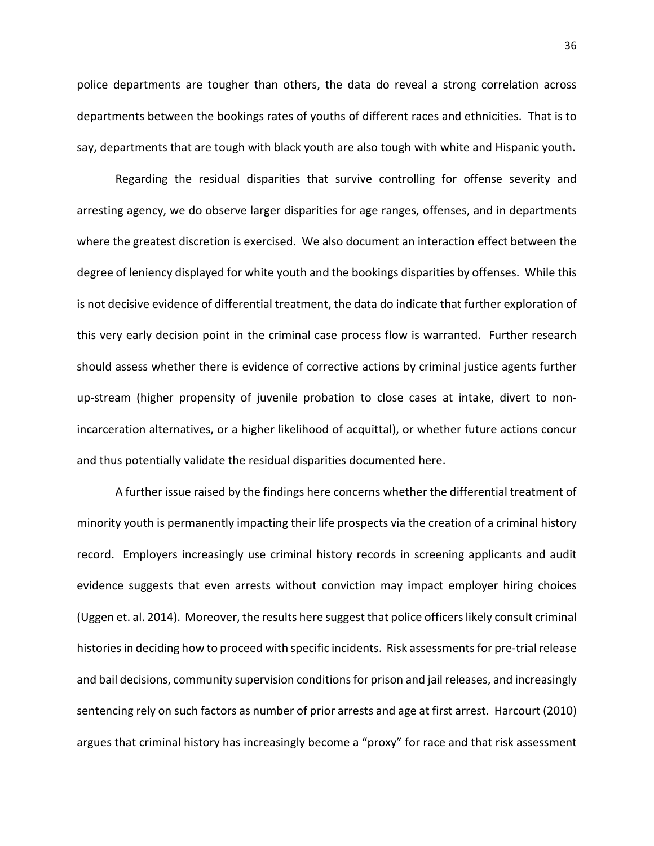police departments are tougher than others, the data do reveal a strong correlation across departments between the bookings rates of youths of different races and ethnicities. That is to say, departments that are tough with black youth are also tough with white and Hispanic youth.

Regarding the residual disparities that survive controlling for offense severity and arresting agency, we do observe larger disparities for age ranges, offenses, and in departments where the greatest discretion is exercised. We also document an interaction effect between the degree of leniency displayed for white youth and the bookings disparities by offenses. While this is not decisive evidence of differential treatment, the data do indicate that further exploration of this very early decision point in the criminal case process flow is warranted. Further research should assess whether there is evidence of corrective actions by criminal justice agents further up-stream (higher propensity of juvenile probation to close cases at intake, divert to nonincarceration alternatives, or a higher likelihood of acquittal), or whether future actions concur and thus potentially validate the residual disparities documented here.

A further issue raised by the findings here concerns whether the differential treatment of minority youth is permanently impacting their life prospects via the creation of a criminal history record. Employers increasingly use criminal history records in screening applicants and audit evidence suggests that even arrests without conviction may impact employer hiring choices (Uggen et. al. 2014). Moreover, the results here suggest that police officers likely consult criminal histories in deciding how to proceed with specific incidents. Risk assessments for pre-trial release and bail decisions, community supervision conditions for prison and jail releases, and increasingly sentencing rely on such factors as number of prior arrests and age at first arrest. Harcourt (2010) argues that criminal history has increasingly become a "proxy" for race and that risk assessment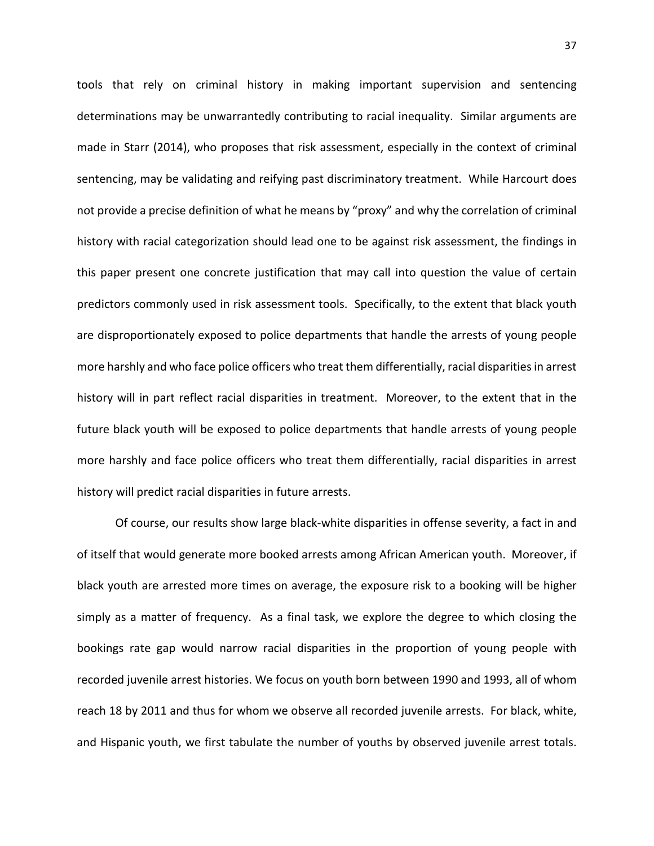tools that rely on criminal history in making important supervision and sentencing determinations may be unwarrantedly contributing to racial inequality. Similar arguments are made in Starr (2014), who proposes that risk assessment, especially in the context of criminal sentencing, may be validating and reifying past discriminatory treatment. While Harcourt does not provide a precise definition of what he means by "proxy" and why the correlation of criminal history with racial categorization should lead one to be against risk assessment, the findings in this paper present one concrete justification that may call into question the value of certain predictors commonly used in risk assessment tools. Specifically, to the extent that black youth are disproportionately exposed to police departments that handle the arrests of young people more harshly and who face police officers who treat them differentially, racial disparities in arrest history will in part reflect racial disparities in treatment. Moreover, to the extent that in the future black youth will be exposed to police departments that handle arrests of young people more harshly and face police officers who treat them differentially, racial disparities in arrest history will predict racial disparities in future arrests.

Of course, our results show large black-white disparities in offense severity, a fact in and of itself that would generate more booked arrests among African American youth. Moreover, if black youth are arrested more times on average, the exposure risk to a booking will be higher simply as a matter of frequency. As a final task, we explore the degree to which closing the bookings rate gap would narrow racial disparities in the proportion of young people with recorded juvenile arrest histories. We focus on youth born between 1990 and 1993, all of whom reach 18 by 2011 and thus for whom we observe all recorded juvenile arrests. For black, white, and Hispanic youth, we first tabulate the number of youths by observed juvenile arrest totals.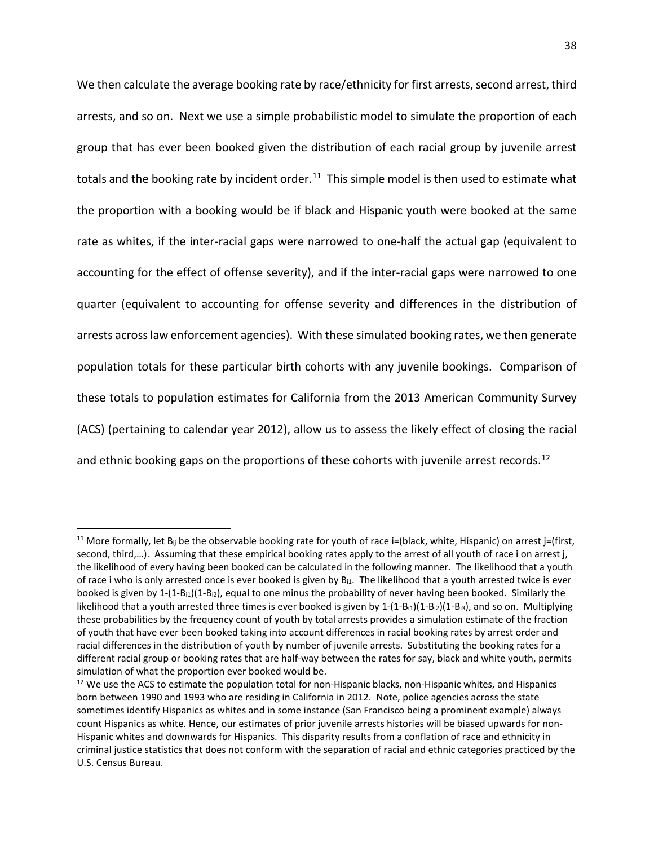We then calculate the average booking rate by race/ethnicity for first arrests, second arrest, third arrests, and so on. Next we use a simple probabilistic model to simulate the proportion of each group that has ever been booked given the distribution of each racial group by juvenile arrest totals and the booking rate by incident order.<sup>11</sup> This simple model is then used to estimate what the proportion with a booking would be if black and Hispanic youth were booked at the same rate as whites, if the inter-racial gaps were narrowed to one-half the actual gap (equivalent to accounting for the effect of offense severity), and if the inter-racial gaps were narrowed to one quarter (equivalent to accounting for offense severity and differences in the distribution of arrests across law enforcement agencies). With these simulated booking rates, we then generate population totals for these particular birth cohorts with any juvenile bookings. Comparison of these totals to population estimates for California from the 2013 American Community Survey (ACS) (pertaining to calendar year 2012), allow us to assess the likely effect of closing the racial and ethnic booking gaps on the proportions of these cohorts with juvenile arrest records.<sup>[12](#page-37-1)</sup>

<span id="page-37-0"></span><sup>&</sup>lt;sup>11</sup> More formally, let  $B_{ij}$  be the observable booking rate for youth of race i=(black, white, Hispanic) on arrest j=(first, second, third,...). Assuming that these empirical booking rates apply to the arrest of all youth of race i on arrest j, the likelihood of every having been booked can be calculated in the following manner. The likelihood that a youth of race i who is only arrested once is ever booked is given by  $B_{i1}$ . The likelihood that a youth arrested twice is ever booked is given by  $1-(1-B_{12})(1-B_{12})$ , equal to one minus the probability of never having been booked. Similarly the likelihood that a youth arrested three times is ever booked is given by  $1-(1-B_{11})(1-B_{12})(1-B_{13})$ , and so on. Multiplying these probabilities by the frequency count of youth by total arrests provides a simulation estimate of the fraction of youth that have ever been booked taking into account differences in racial booking rates by arrest order and racial differences in the distribution of youth by number of juvenile arrests. Substituting the booking rates for a different racial group or booking rates that are half-way between the rates for say, black and white youth, permits simulation of what the proportion ever booked would be.

<span id="page-37-1"></span><sup>&</sup>lt;sup>12</sup> We use the ACS to estimate the population total for non-Hispanic blacks, non-Hispanic whites, and Hispanics born between 1990 and 1993 who are residing in California in 2012. Note, police agencies across the state sometimes identify Hispanics as whites and in some instance (San Francisco being a prominent example) always count Hispanics as white. Hence, our estimates of prior juvenile arrests histories will be biased upwards for non-Hispanic whites and downwards for Hispanics. This disparity results from a conflation of race and ethnicity in criminal justice statistics that does not conform with the separation of racial and ethnic categories practiced by the U.S. Census Bureau.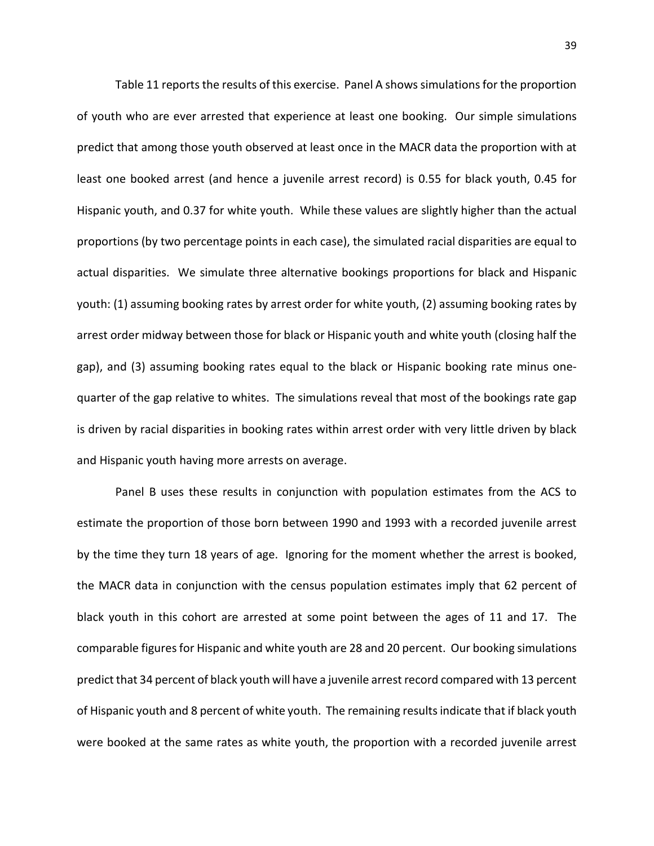Table 11 reports the results of this exercise. Panel A shows simulations for the proportion of youth who are ever arrested that experience at least one booking. Our simple simulations predict that among those youth observed at least once in the MACR data the proportion with at least one booked arrest (and hence a juvenile arrest record) is 0.55 for black youth, 0.45 for Hispanic youth, and 0.37 for white youth. While these values are slightly higher than the actual proportions (by two percentage points in each case), the simulated racial disparities are equal to actual disparities. We simulate three alternative bookings proportions for black and Hispanic youth: (1) assuming booking rates by arrest order for white youth, (2) assuming booking rates by arrest order midway between those for black or Hispanic youth and white youth (closing half the gap), and (3) assuming booking rates equal to the black or Hispanic booking rate minus onequarter of the gap relative to whites. The simulations reveal that most of the bookings rate gap is driven by racial disparities in booking rates within arrest order with very little driven by black and Hispanic youth having more arrests on average.

Panel B uses these results in conjunction with population estimates from the ACS to estimate the proportion of those born between 1990 and 1993 with a recorded juvenile arrest by the time they turn 18 years of age. Ignoring for the moment whether the arrest is booked, the MACR data in conjunction with the census population estimates imply that 62 percent of black youth in this cohort are arrested at some point between the ages of 11 and 17. The comparable figures for Hispanic and white youth are 28 and 20 percent. Our booking simulations predict that 34 percent of black youth will have a juvenile arrest record compared with 13 percent of Hispanic youth and 8 percent of white youth. The remaining results indicate that if black youth were booked at the same rates as white youth, the proportion with a recorded juvenile arrest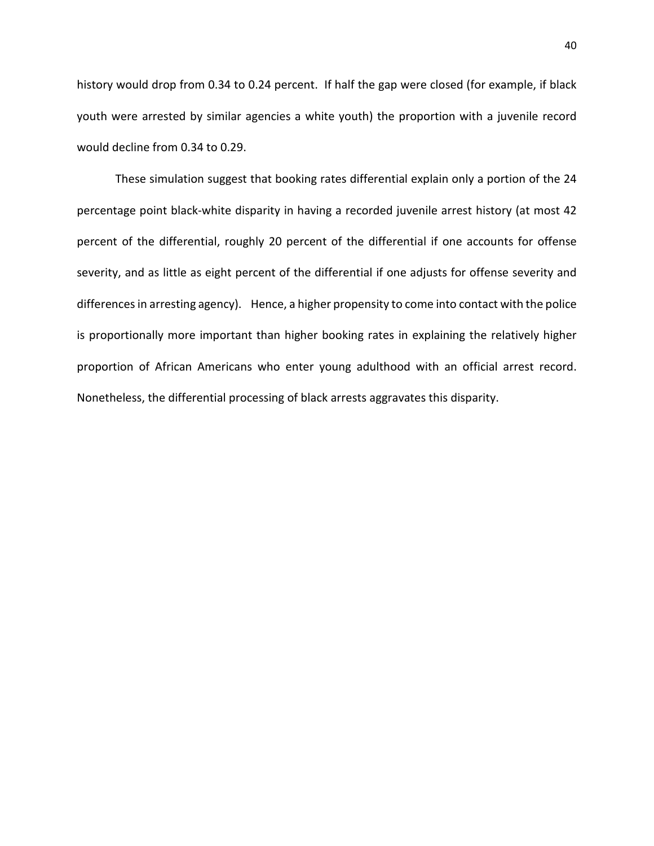history would drop from 0.34 to 0.24 percent. If half the gap were closed (for example, if black youth were arrested by similar agencies a white youth) the proportion with a juvenile record would decline from 0.34 to 0.29.

These simulation suggest that booking rates differential explain only a portion of the 24 percentage point black-white disparity in having a recorded juvenile arrest history (at most 42 percent of the differential, roughly 20 percent of the differential if one accounts for offense severity, and as little as eight percent of the differential if one adjusts for offense severity and differences in arresting agency). Hence, a higher propensity to come into contact with the police is proportionally more important than higher booking rates in explaining the relatively higher proportion of African Americans who enter young adulthood with an official arrest record. Nonetheless, the differential processing of black arrests aggravates this disparity.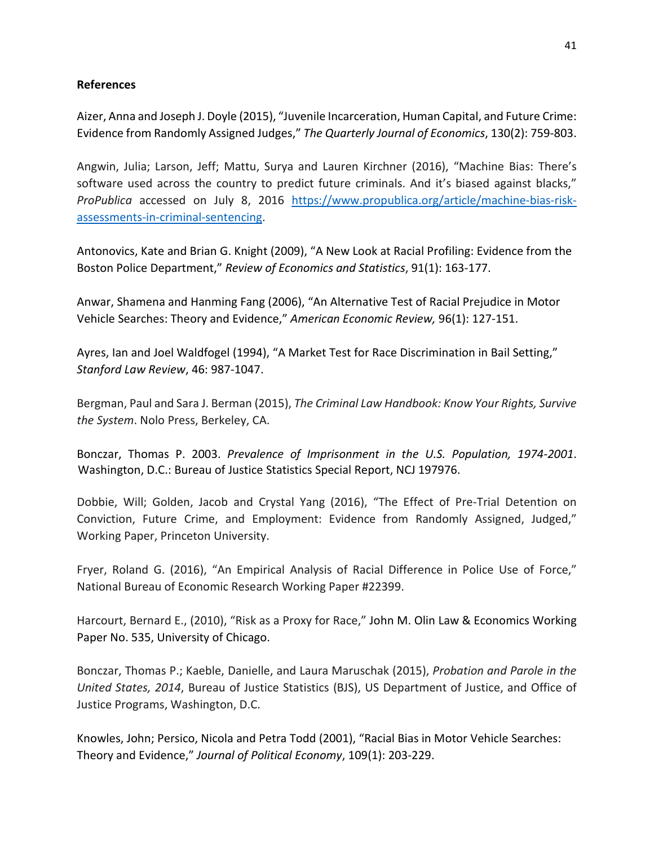## **References**

Aizer, Anna and Joseph J. Doyle (2015), "Juvenile Incarceration, Human Capital, and Future Crime: Evidence from Randomly Assigned Judges," *The Quarterly Journal of Economics*, 130(2): 759-803.

Angwin, Julia; Larson, Jeff; Mattu, Surya and Lauren Kirchner (2016), "Machine Bias: There's software used across the country to predict future criminals. And it's biased against blacks," *ProPublica* accessed on July 8, 2016 [https://www.propublica.org/article/machine-bias-risk](https://www.propublica.org/article/machine-bias-risk-assessments-in-criminal-sentencing)[assessments-in-criminal-sentencing.](https://www.propublica.org/article/machine-bias-risk-assessments-in-criminal-sentencing)

Antonovics, Kate and Brian G. Knight (2009), "A New Look at Racial Profiling: Evidence from the Boston Police Department," *Review of Economics and Statistics*, 91(1): 163-177.

Anwar, Shamena and Hanming Fang (2006), "An Alternative Test of Racial Prejudice in Motor Vehicle Searches: Theory and Evidence," *American Economic Review,* 96(1): 127-151.

Ayres, Ian and Joel Waldfogel (1994), "A Market Test for Race Discrimination in Bail Setting," *Stanford Law Review*, 46: 987-1047.

Bergman, Paul and Sara J. Berman (2015), *The Criminal Law Handbook: Know Your Rights, Survive the System*. Nolo Press, Berkeley, CA.

Bonczar, Thomas P. 2003. *Prevalence of Imprisonment in the U.S. Population, 1974-2001*. Washington, D.C.: Bureau of Justice Statistics Special Report, NCJ 197976.

Dobbie, Will; Golden, Jacob and Crystal Yang (2016), "The Effect of Pre-Trial Detention on Conviction, Future Crime, and Employment: Evidence from Randomly Assigned, Judged," Working Paper, Princeton University.

Fryer, Roland G. (2016), "An Empirical Analysis of Racial Difference in Police Use of Force," National Bureau of Economic Research Working Paper #22399.

Harcourt, Bernard E., (2010), "Risk as a Proxy for Race," John M. Olin Law & Economics Working Paper No. 535, University of Chicago.

Bonczar, Thomas P.; Kaeble, Danielle, and Laura Maruschak (2015), *Probation and Parole in the United States, 2014*, Bureau of Justice Statistics (BJS), US Department of Justice, and Office of Justice Programs, Washington, D.C.

Knowles, John; Persico, Nicola and Petra Todd (2001), "Racial Bias in Motor Vehicle Searches: Theory and Evidence," *Journal of Political Economy*, 109(1): 203-229.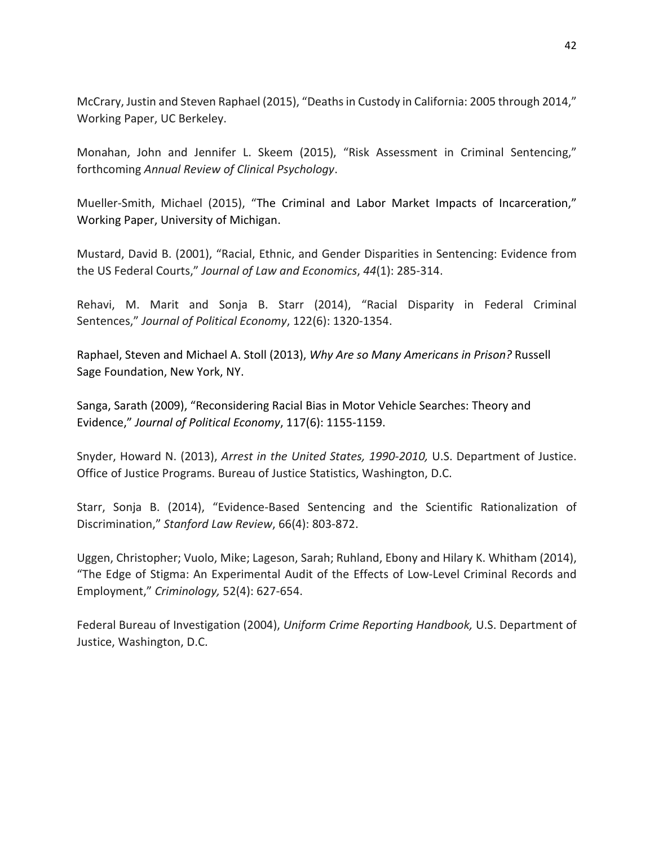McCrary, Justin and Steven Raphael (2015), "Deaths in Custody in California: 2005 through 2014," Working Paper, UC Berkeley.

Monahan, John and Jennifer L. Skeem (2015), "Risk Assessment in Criminal Sentencing," forthcoming *Annual Review of Clinical Psychology*.

Mueller-Smith, Michael (2015), "The Criminal and Labor Market Impacts of Incarceration," Working Paper, University of Michigan.

Mustard, David B. (2001), "Racial, Ethnic, and Gender Disparities in Sentencing: Evidence from the US Federal Courts," *Journal of Law and Economics*, *44*(1): 285-314.

Rehavi, M. Marit and Sonja B. Starr (2014), "Racial Disparity in Federal Criminal Sentences," *Journal of Political Economy*, 122(6): 1320-1354.

Raphael, Steven and Michael A. Stoll (2013), *Why Are so Many Americans in Prison?* Russell Sage Foundation, New York, NY.

Sanga, Sarath (2009), "Reconsidering Racial Bias in Motor Vehicle Searches: Theory and Evidence," *Journal of Political Economy*, 117(6): 1155-1159.

Snyder, Howard N. (2013), *Arrest in the United States, 1990-2010,* U.S. Department of Justice. Office of Justice Programs. Bureau of Justice Statistics, Washington, D.C.

Starr, Sonja B. (2014), "Evidence-Based Sentencing and the Scientific Rationalization of Discrimination," *Stanford Law Review*, 66(4): 803-872.

Uggen, Christopher; Vuolo, Mike; Lageson, Sarah; Ruhland, Ebony and Hilary K. Whitham (2014), "The Edge of Stigma: An Experimental Audit of the Effects of Low-Level Criminal Records and Employment," *Criminology,* 52(4): 627-654.

Federal Bureau of Investigation (2004), *Uniform Crime Reporting Handbook,* U.S. Department of Justice, Washington, D.C.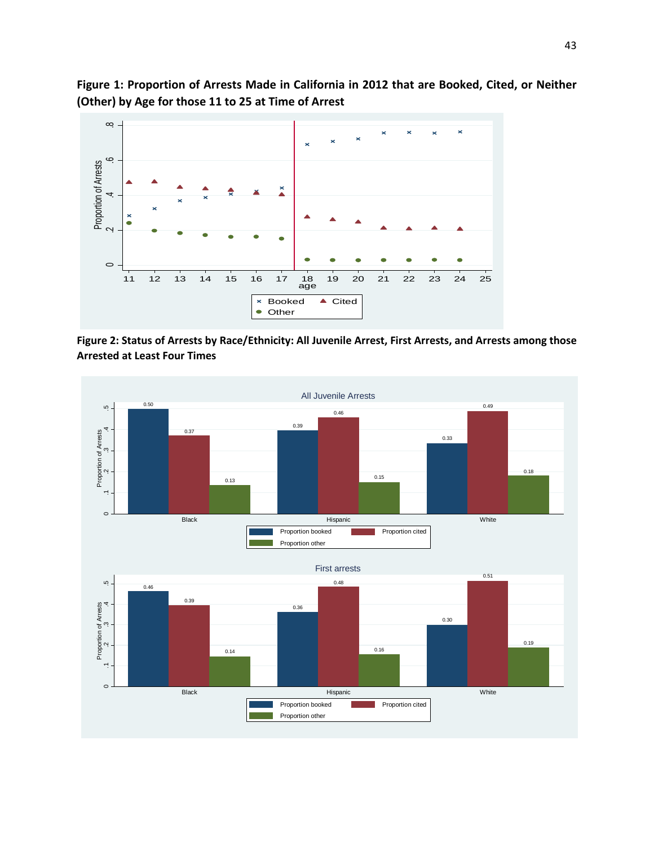

**Figure 1: Proportion of Arrests Made in California in 2012 that are Booked, Cited, or Neither (Other) by Age for those 11 to 25 at Time of Arrest**

**Figure 2: Status of Arrests by Race/Ethnicity: All Juvenile Arrest, First Arrests, and Arrests among those Arrested at Least Four Times**

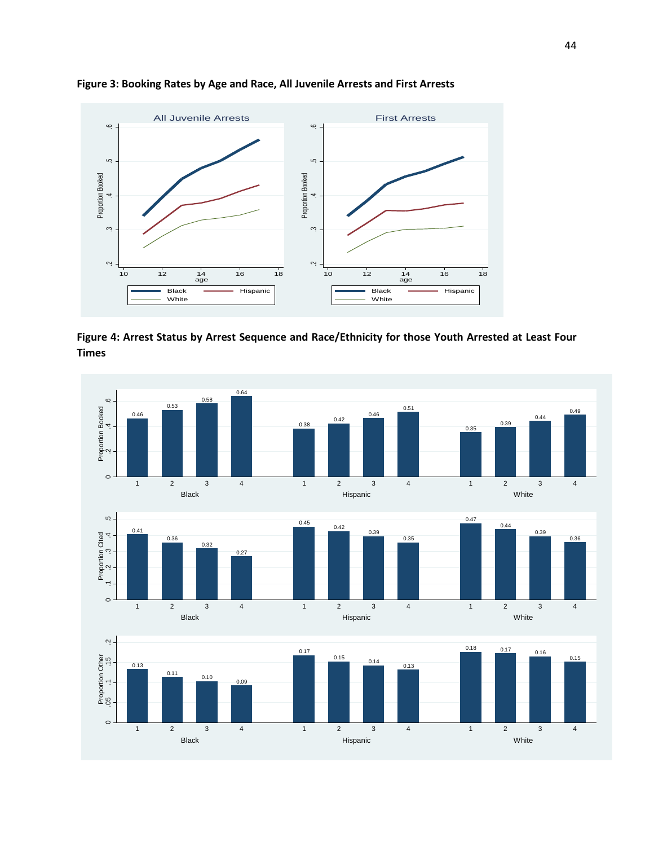

**Figure 3: Booking Rates by Age and Race, All Juvenile Arrests and First Arrests**

**Figure 4: Arrest Status by Arrest Sequence and Race/Ethnicity for those Youth Arrested at Least Four Times**

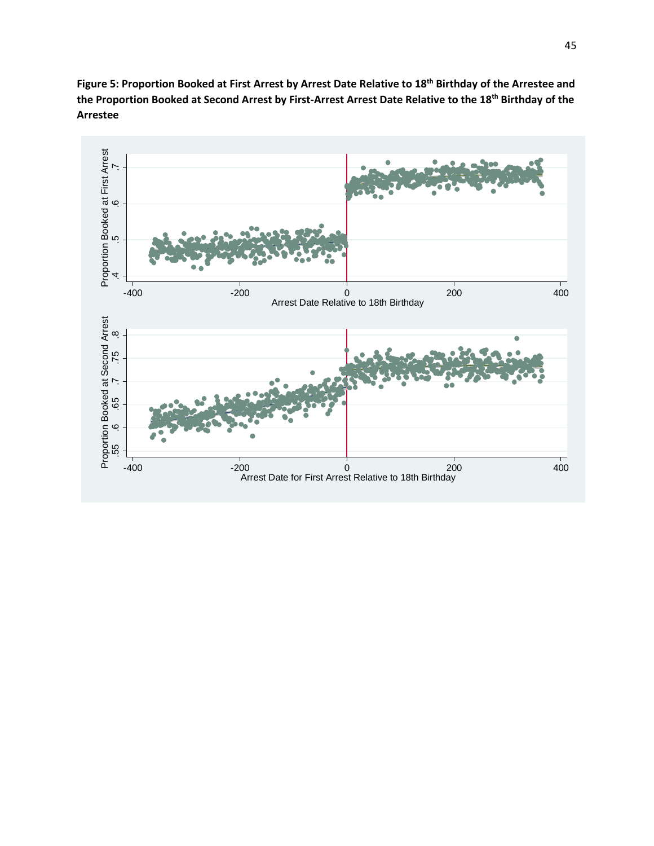

**Figure 5: Proportion Booked at First Arrest by Arrest Date Relative to 18th Birthday of the Arrestee and the Proportion Booked at Second Arrest by First-Arrest Arrest Date Relative to the 18th Birthday of the Arrestee**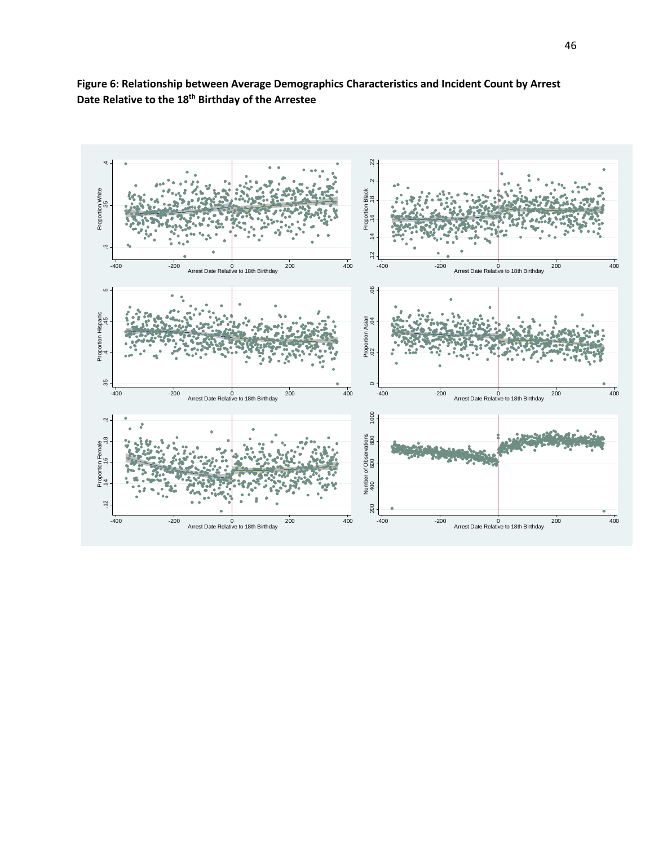

**Figure 6: Relationship between Average Demographics Characteristics and Incident Count by Arrest Date Relative to the 18th Birthday of the Arrestee**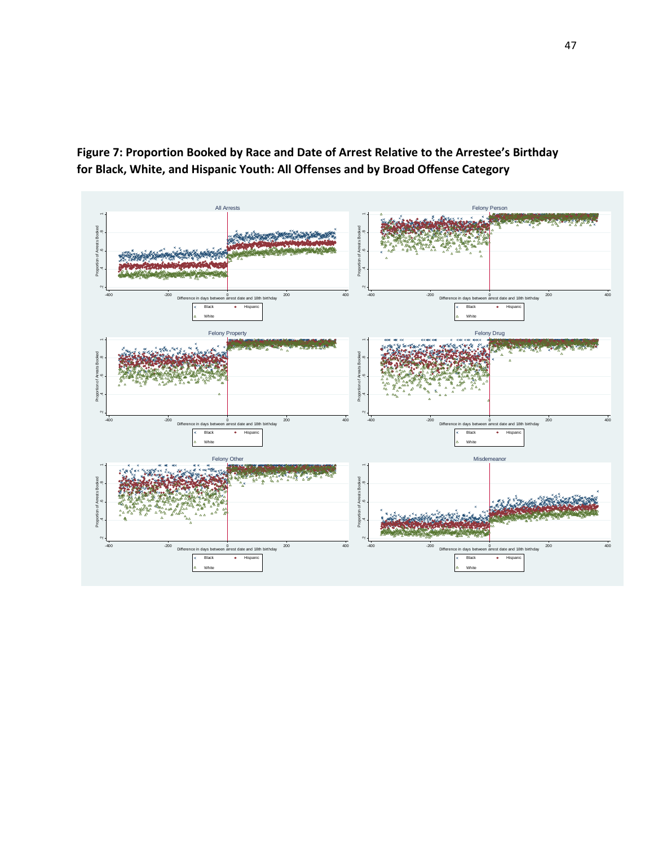

**Figure 7: Proportion Booked by Race and Date of Arrest Relative to the Arrestee's Birthday for Black, White, and Hispanic Youth: All Offenses and by Broad Offense Category**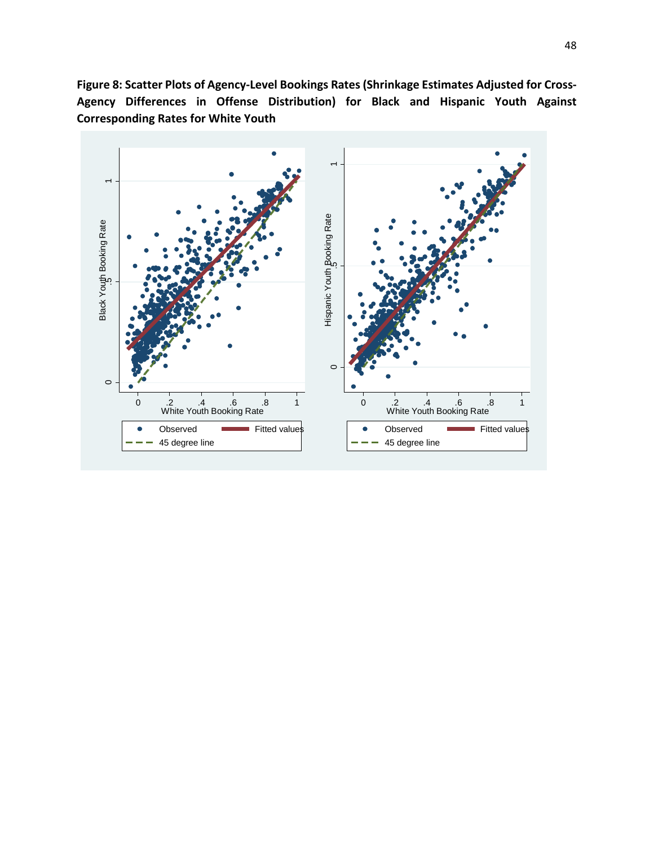**Figure 8: Scatter Plots of Agency-Level Bookings Rates (Shrinkage Estimates Adjusted for Cross-Agency Differences in Offense Distribution) for Black and Hispanic Youth Against Corresponding Rates for White Youth**

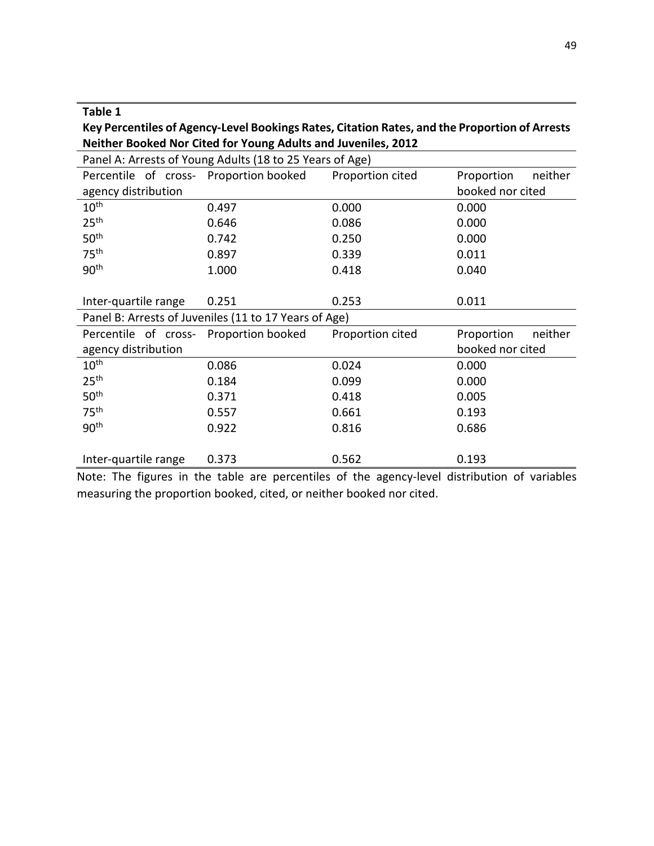| וטו<br>∍ | e |
|----------|---|
|----------|---|

**Key Percentiles of Agency-Level Bookings Rates, Citation Rates, and the Proportion of Arrests Neither Booked Nor Cited for Young Adults and Juveniles, 2012**

| Panel A: Arrests of Young Adults (18 to 25 Years of Age) |                                                       |                  |                       |  |  |
|----------------------------------------------------------|-------------------------------------------------------|------------------|-----------------------|--|--|
| Percentile of cross-                                     | Proportion booked                                     | Proportion cited | Proportion<br>neither |  |  |
| agency distribution                                      |                                                       |                  | booked nor cited      |  |  |
| 10 <sup>th</sup>                                         | 0.497                                                 | 0.000            | 0.000                 |  |  |
| 25 <sup>th</sup>                                         | 0.646                                                 | 0.086            | 0.000                 |  |  |
| 50 <sup>th</sup>                                         | 0.742                                                 | 0.250            | 0.000                 |  |  |
| 75 <sup>th</sup>                                         | 0.897                                                 | 0.339            | 0.011                 |  |  |
| 90 <sup>th</sup>                                         | 1.000                                                 | 0.418            | 0.040                 |  |  |
|                                                          |                                                       |                  |                       |  |  |
| Inter-quartile range                                     | 0.251                                                 | 0.253            | 0.011                 |  |  |
|                                                          | Panel B: Arrests of Juveniles (11 to 17 Years of Age) |                  |                       |  |  |
| Percentile of cross-                                     | Proportion booked                                     | Proportion cited | Proportion<br>neither |  |  |
| agency distribution                                      |                                                       |                  | booked nor cited      |  |  |
| 10 <sup>th</sup>                                         | 0.086                                                 | 0.024            | 0.000                 |  |  |
| 25 <sup>th</sup>                                         | 0.184                                                 | 0.099            | 0.000                 |  |  |
| 50 <sup>th</sup>                                         | 0.371                                                 | 0.418            | 0.005                 |  |  |
| 75 <sup>th</sup>                                         | 0.557                                                 | 0.661            | 0.193                 |  |  |
| 90 <sup>th</sup>                                         | 0.922                                                 | 0.816            | 0.686                 |  |  |
|                                                          |                                                       |                  |                       |  |  |
| Inter-quartile range                                     | 0.373                                                 | 0.562            | 0.193                 |  |  |

Note: The figures in the table are percentiles of the agency-level distribution of variables measuring the proportion booked, cited, or neither booked nor cited.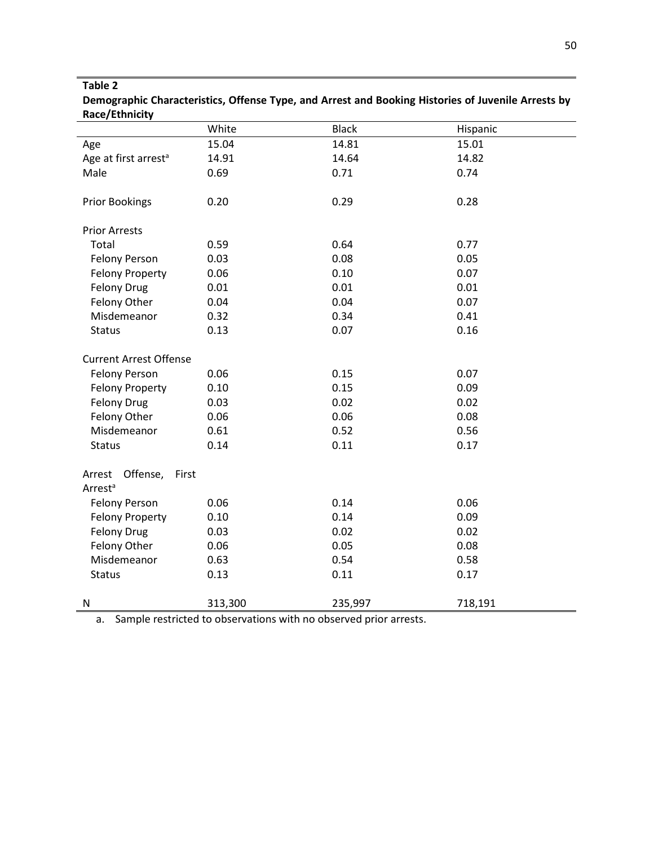|                                  | White   | <b>Black</b> | Hispanic |
|----------------------------------|---------|--------------|----------|
| Age                              | 15.04   | 14.81        | 15.01    |
| Age at first arrest <sup>a</sup> | 14.91   | 14.64        | 14.82    |
| Male                             | 0.69    | 0.71         | 0.74     |
|                                  |         |              |          |
| <b>Prior Bookings</b>            | 0.20    | 0.29         | 0.28     |
|                                  |         |              |          |
| <b>Prior Arrests</b>             |         |              |          |
| Total                            | 0.59    | 0.64         | 0.77     |
| <b>Felony Person</b>             | 0.03    | 0.08         | 0.05     |
| <b>Felony Property</b>           | 0.06    | 0.10         | 0.07     |
| Felony Drug                      | 0.01    | 0.01         | 0.01     |
| Felony Other                     | 0.04    | 0.04         | 0.07     |
| Misdemeanor                      | 0.32    | 0.34         | 0.41     |
| <b>Status</b>                    | 0.13    | 0.07         | 0.16     |
|                                  |         |              |          |
| <b>Current Arrest Offense</b>    |         |              |          |
| <b>Felony Person</b>             | 0.06    | 0.15         | 0.07     |
| <b>Felony Property</b>           | 0.10    | 0.15         | 0.09     |
| <b>Felony Drug</b>               | 0.03    | 0.02         | 0.02     |
| Felony Other                     | 0.06    | 0.06         | 0.08     |
| Misdemeanor                      | 0.61    | 0.52         | 0.56     |
| <b>Status</b>                    | 0.14    | 0.11         | 0.17     |
|                                  |         |              |          |
| Arrest Offense,<br>First         |         |              |          |
| Arrest <sup>a</sup>              |         |              |          |
| <b>Felony Person</b>             | 0.06    | 0.14         | 0.06     |
| <b>Felony Property</b>           | 0.10    | 0.14         | 0.09     |
| <b>Felony Drug</b>               | 0.03    | 0.02         | 0.02     |
| Felony Other                     | 0.06    | 0.05         | 0.08     |
| Misdemeanor                      | 0.63    | 0.54         | 0.58     |
| <b>Status</b>                    | 0.13    | 0.11         | 0.17     |
|                                  |         |              |          |
| $\mathsf{N}$                     | 313,300 | 235,997      | 718,191  |

**Demographic Characteristics, Offense Type, and Arrest and Booking Histories of Juvenile Arrests by Race/Ethnicity**

a. Sample restricted to observations with no observed prior arrests.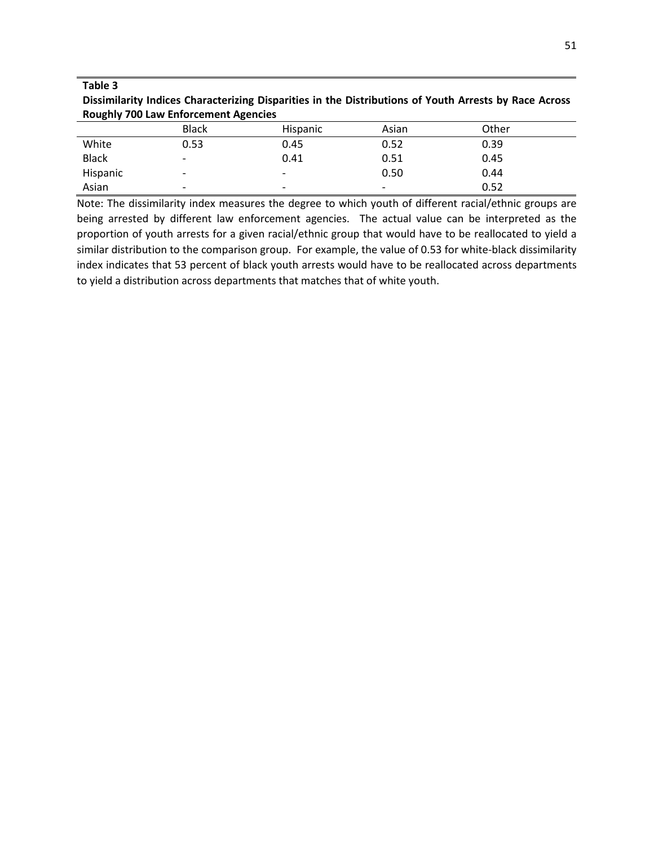| Dissimilarity Indices Characterizing Disparities in the Distributions of Youth Arrests by Race Across |
|-------------------------------------------------------------------------------------------------------|
| <b>Roughly 700 Law Enforcement Agencies</b>                                                           |

|              | <b>Black</b>             | <b>Hispanic</b>          | Asian                    | Other |
|--------------|--------------------------|--------------------------|--------------------------|-------|
| White        | 0.53                     | 0.45                     | 0.52                     | 0.39  |
| <b>Black</b> | $\overline{\phantom{0}}$ | 0.41                     | 0.51                     | 0.45  |
| Hispanic     | $\overline{\phantom{0}}$ | $\overline{\phantom{0}}$ | 0.50                     | 0.44  |
| Asian        | $\overline{\phantom{a}}$ | $\overline{\phantom{0}}$ | $\overline{\phantom{a}}$ | 0.52  |

Note: The dissimilarity index measures the degree to which youth of different racial/ethnic groups are being arrested by different law enforcement agencies. The actual value can be interpreted as the proportion of youth arrests for a given racial/ethnic group that would have to be reallocated to yield a similar distribution to the comparison group. For example, the value of 0.53 for white-black dissimilarity index indicates that 53 percent of black youth arrests would have to be reallocated across departments to yield a distribution across departments that matches that of white youth.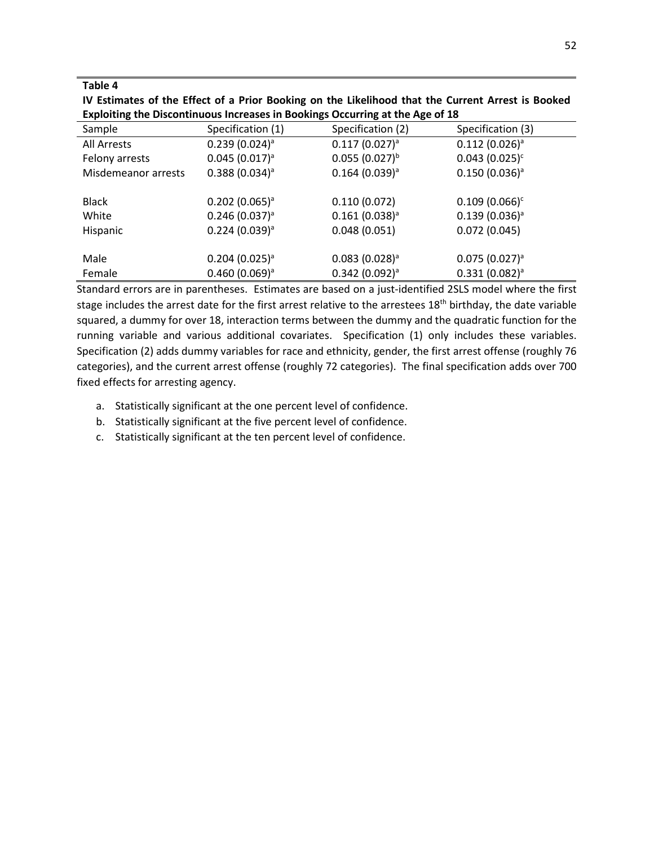| IV Estimates of the Effect of a Prior Booking on the Likelihood that the Current Arrest is Booked |
|---------------------------------------------------------------------------------------------------|
| Exploiting the Discontinuous Increases in Bookings Occurring at the Age of 18                     |

| Sample              | Specification (1)            | Specification (2)            | Specification (3)  |
|---------------------|------------------------------|------------------------------|--------------------|
| All Arrests         | $0.239(0.024)^a$             | $0.117(0.027)^a$             | $0.112(0.026)^a$   |
| Felony arrests      | $0.045(0.017)^a$             | $0.055(0.027)^{b}$           | $0.043(0.025)^c$   |
| Misdemeanor arrests | $0.388(0.034)^a$             | $0.164$ (0.039) <sup>a</sup> | $0.150(0.036)^{a}$ |
|                     |                              |                              |                    |
| <b>Black</b>        | $0.202$ (0.065) <sup>a</sup> | 0.110(0.072)                 | $0.109(0.066)^c$   |
| White               | $0.246(0.037)^a$             | $0.161(0.038)^a$             | $0.139(0.036)^a$   |
| Hispanic            | $0.224(0.039)^{a}$           | 0.048(0.051)                 | 0.072(0.045)       |
|                     |                              |                              |                    |
| Male                | $0.204$ (0.025) <sup>a</sup> | $0.083(0.028)^{a}$           | $0.075(0.027)^a$   |
| Female              | $0.460(0.069)^{a}$           | $0.342(0.092)^a$             | $0.331(0.082)^a$   |

Standard errors are in parentheses. Estimates are based on a just-identified 2SLS model where the first stage includes the arrest date for the first arrest relative to the arrestees 18<sup>th</sup> birthday, the date variable squared, a dummy for over 18, interaction terms between the dummy and the quadratic function for the running variable and various additional covariates. Specification (1) only includes these variables. Specification (2) adds dummy variables for race and ethnicity, gender, the first arrest offense (roughly 76 categories), and the current arrest offense (roughly 72 categories). The final specification adds over 700 fixed effects for arresting agency.

- a. Statistically significant at the one percent level of confidence.
- b. Statistically significant at the five percent level of confidence.
- c. Statistically significant at the ten percent level of confidence.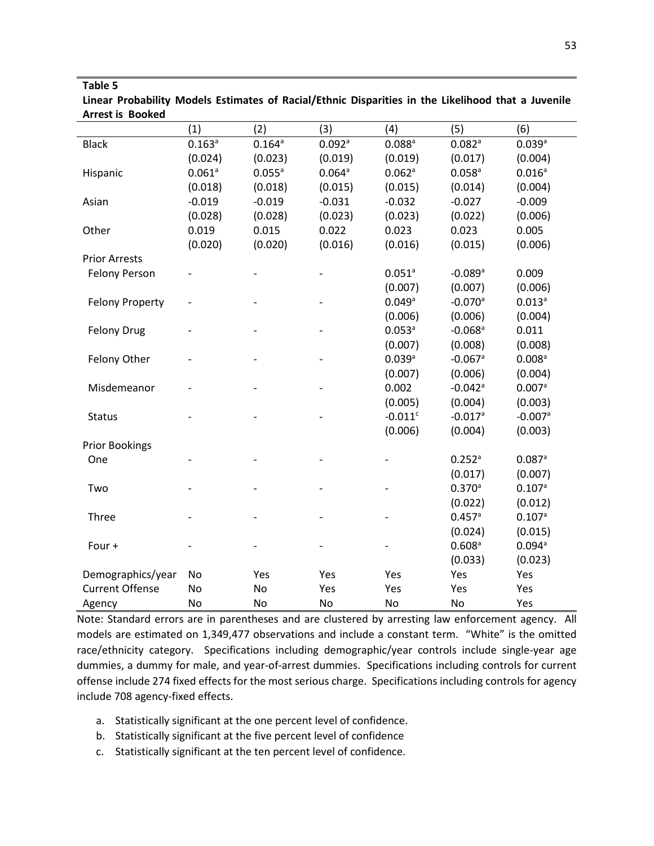| Linear Probability Models Estimates of Racial/Ethnic Disparities in the Likelihood that a Juvenile |  |  |  |  |  |
|----------------------------------------------------------------------------------------------------|--|--|--|--|--|
| <b>Arrest is Booked</b>                                                                            |  |  |  |  |  |

|                        | (1)                  | (2)         | (3)      | (4)                  | (5)                   | (6)                  |
|------------------------|----------------------|-------------|----------|----------------------|-----------------------|----------------------|
| <b>Black</b>           | 0.163a               | $0.164^{a}$ | 0.092a   | $0.088$ <sup>a</sup> | 0.082a                | 0.039a               |
|                        | (0.024)              | (0.023)     | (0.019)  | (0.019)              | (0.017)               | (0.004)              |
| Hispanic               | $0.061$ <sup>a</sup> | $0.055^a$   | 0.064a   | 0.062a               | $0.058$ <sup>a</sup>  | $0.016^{a}$          |
|                        | (0.018)              | (0.018)     | (0.015)  | (0.015)              | (0.014)               | (0.004)              |
| Asian                  | $-0.019$             | $-0.019$    | $-0.031$ | $-0.032$             | $-0.027$              | $-0.009$             |
|                        | (0.028)              | (0.028)     | (0.023)  | (0.023)              | (0.022)               | (0.006)              |
| Other                  | 0.019                | 0.015       | 0.022    | 0.023                | 0.023                 | 0.005                |
|                        | (0.020)              | (0.020)     | (0.016)  | (0.016)              | (0.015)               | (0.006)              |
| <b>Prior Arrests</b>   |                      |             |          |                      |                       |                      |
| <b>Felony Person</b>   |                      |             |          | $0.051$ <sup>a</sup> | $-0.089$ <sup>a</sup> | 0.009                |
|                        |                      |             |          | (0.007)              | (0.007)               | (0.006)              |
| <b>Felony Property</b> |                      |             |          | 0.049a               | $-0.070$ <sup>a</sup> | 0.013a               |
|                        |                      |             |          | (0.006)              | (0.006)               | (0.004)              |
| <b>Felony Drug</b>     |                      |             |          | $0.053$ <sup>a</sup> | $-0.068$ <sup>a</sup> | 0.011                |
|                        |                      |             |          | (0.007)              | (0.008)               | (0.008)              |
| Felony Other           |                      |             |          | 0.039a               | $-0.067$ <sup>a</sup> | $0.008$ <sup>a</sup> |
|                        |                      |             |          | (0.007)              | (0.006)               | (0.004)              |
| Misdemeanor            |                      |             |          | 0.002                | $-0.042$ <sup>a</sup> | 0.007a               |
|                        |                      |             |          | (0.005)              | (0.004)               | (0.003)              |
| <b>Status</b>          |                      |             |          | $-0.011c$            | $-0.017$ <sup>a</sup> | $-0.007a$            |
|                        |                      |             |          | (0.006)              | (0.004)               | (0.003)              |
| <b>Prior Bookings</b>  |                      |             |          |                      |                       |                      |
| One                    |                      |             |          |                      | $0.252$ <sup>a</sup>  | 0.087a               |
|                        |                      |             |          |                      | (0.017)               | (0.007)              |
| Two                    |                      |             |          |                      | 0.370a                | 0.107a               |
|                        |                      |             |          |                      | (0.022)               | (0.012)              |
| Three                  |                      |             |          |                      | 0.457a                | 0.107a               |
|                        |                      |             |          |                      | (0.024)               | (0.015)              |
| Four +                 |                      |             |          |                      | $0.608$ <sup>a</sup>  | 0.094a               |
|                        |                      |             |          |                      | (0.033)               | (0.023)              |
| Demographics/year      | No                   | Yes         | Yes      | Yes                  | Yes                   | Yes                  |
| <b>Current Offense</b> | <b>No</b>            | No          | Yes      | Yes                  | Yes                   | Yes                  |
| Agency                 | No                   | No          | No       | No                   | No                    | Yes                  |

Note: Standard errors are in parentheses and are clustered by arresting law enforcement agency. All models are estimated on 1,349,477 observations and include a constant term. "White" is the omitted race/ethnicity category. Specifications including demographic/year controls include single-year age dummies, a dummy for male, and year-of-arrest dummies. Specifications including controls for current offense include 274 fixed effects for the most serious charge. Specifications including controls for agency include 708 agency-fixed effects.

- a. Statistically significant at the one percent level of confidence.
- b. Statistically significant at the five percent level of confidence
- c. Statistically significant at the ten percent level of confidence.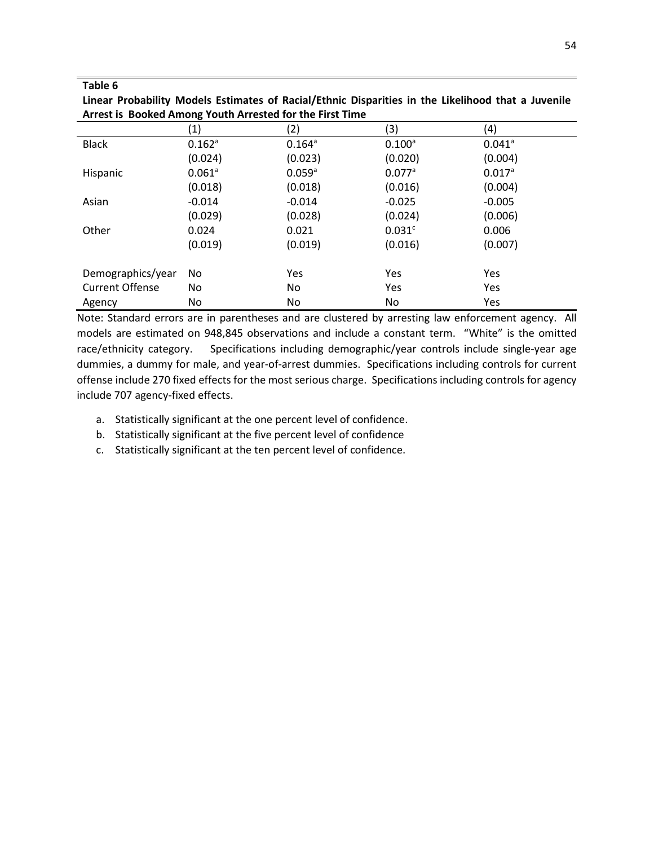|                        | (1)                  | $\left( 2\right)$    | (3)                  | (4)                  |  |
|------------------------|----------------------|----------------------|----------------------|----------------------|--|
| <b>Black</b>           | $0.162$ <sup>a</sup> | $0.164$ <sup>a</sup> | $0.100^a$            | $0.041$ <sup>a</sup> |  |
|                        | (0.024)              | (0.023)              | (0.020)              | (0.004)              |  |
| Hispanic               | $0.061$ <sup>a</sup> | $0.059$ <sup>a</sup> | $0.077$ <sup>a</sup> | $0.017$ <sup>a</sup> |  |
|                        | (0.018)              | (0.018)              | (0.016)              | (0.004)              |  |
| Asian                  | $-0.014$             | $-0.014$             | $-0.025$             | $-0.005$             |  |
|                        | (0.029)              | (0.028)              | (0.024)              | (0.006)              |  |
| Other                  | 0.024                | 0.021                | 0.031c               | 0.006                |  |
|                        | (0.019)              | (0.019)              | (0.016)              | (0.007)              |  |
|                        |                      |                      |                      |                      |  |
| Demographics/year      | No.                  | Yes                  | Yes                  | Yes                  |  |
| <b>Current Offense</b> | No                   | No                   | Yes                  | Yes                  |  |
| Agency                 | No                   | No                   | No                   | Yes                  |  |

**Linear Probability Models Estimates of Racial/Ethnic Disparities in the Likelihood that a Juvenile Arrest is Booked Among Youth Arrested for the First Time**

Note: Standard errors are in parentheses and are clustered by arresting law enforcement agency. All models are estimated on 948,845 observations and include a constant term. "White" is the omitted race/ethnicity category. Specifications including demographic/year controls include single-year age dummies, a dummy for male, and year-of-arrest dummies. Specifications including controls for current offense include 270 fixed effects for the most serious charge. Specifications including controls for agency include 707 agency-fixed effects.

- a. Statistically significant at the one percent level of confidence.
- b. Statistically significant at the five percent level of confidence
- c. Statistically significant at the ten percent level of confidence.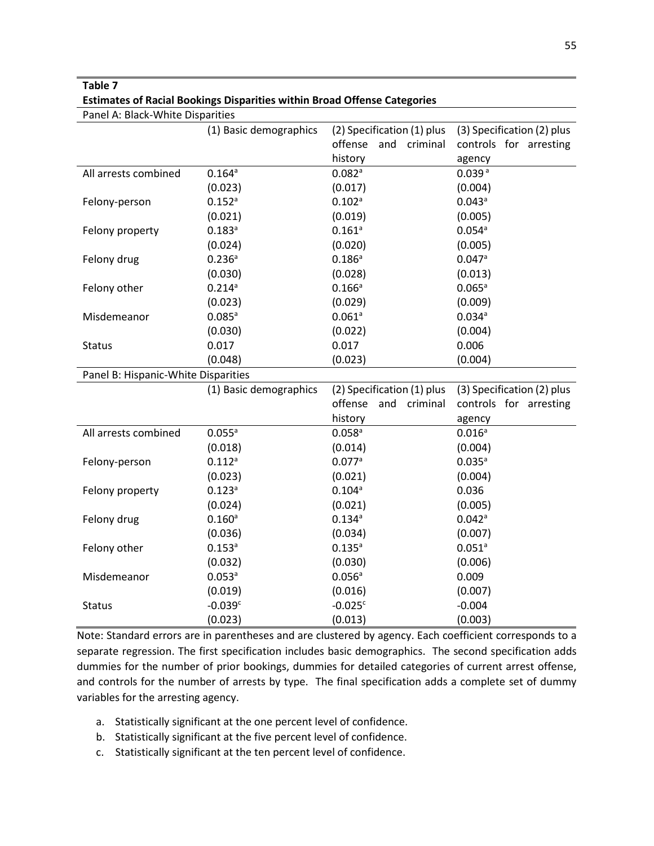**Estimates of Racial Bookings Disparities within Broad Offense Categories**

| Panel A: Black-White Disparities    |                        |                            |                            |  |  |
|-------------------------------------|------------------------|----------------------------|----------------------------|--|--|
|                                     | (1) Basic demographics | (2) Specification (1) plus | (3) Specification (2) plus |  |  |
|                                     |                        | offense and criminal       | controls for arresting     |  |  |
|                                     |                        | history                    | agency                     |  |  |
| All arrests combined                | 0.164a                 | 0.082a                     | 0.039a                     |  |  |
|                                     | (0.023)                | (0.017)                    | (0.004)                    |  |  |
| Felony-person                       | $0.152^{a}$            | $0.102$ <sup>a</sup>       | $0.043$ <sup>a</sup>       |  |  |
|                                     | (0.021)                | (0.019)                    | (0.005)                    |  |  |
| Felony property                     | $0.183^{a}$            | $0.161$ <sup>a</sup>       | 0.054a                     |  |  |
|                                     | (0.024)                | (0.020)                    | (0.005)                    |  |  |
| Felony drug                         | 0.236a                 | 0.186a                     | 0.047a                     |  |  |
|                                     | (0.030)                | (0.028)                    | (0.013)                    |  |  |
| Felony other                        | 0.214a                 | $0.166^a$                  | 0.065a                     |  |  |
|                                     | (0.023)                | (0.029)                    | (0.009)                    |  |  |
| Misdemeanor                         | 0.085a                 | 0.061a                     | 0.034a                     |  |  |
|                                     | (0.030)                | (0.022)                    | (0.004)                    |  |  |
| <b>Status</b>                       | 0.017                  | 0.017                      | 0.006                      |  |  |
|                                     | (0.048)                | (0.023)                    | (0.004)                    |  |  |
|                                     |                        |                            |                            |  |  |
| Panel B: Hispanic-White Disparities |                        |                            |                            |  |  |
|                                     | (1) Basic demographics | (2) Specification (1) plus | (3) Specification (2) plus |  |  |
|                                     |                        | offense<br>and<br>criminal | controls for arresting     |  |  |
|                                     |                        | history                    | agency                     |  |  |
| All arrests combined                | $0.055^a$              | $0.058$ <sup>a</sup>       | $0.016^a$                  |  |  |
|                                     | (0.018)                | (0.014)                    | (0.004)                    |  |  |
| Felony-person                       | $0.112^{a}$            | 0.077a                     | $0.035^{a}$                |  |  |
|                                     | (0.023)                | (0.021)                    | (0.004)                    |  |  |
| Felony property                     | 0.123a                 | 0.104a                     | 0.036                      |  |  |
|                                     | (0.024)                | (0.021)                    | (0.005)                    |  |  |
| Felony drug                         | $0.160^a$              | $0.134^{a}$                | $0.042$ <sup>a</sup>       |  |  |
|                                     | (0.036)                | (0.034)                    | (0.007)                    |  |  |
| Felony other                        | $0.153^{a}$            | $0.135^{a}$                | $0.051$ <sup>a</sup>       |  |  |
|                                     | (0.032)                | (0.030)                    | (0.006)                    |  |  |
| Misdemeanor                         | $0.053^a$              | 0.056a                     | 0.009                      |  |  |
|                                     | (0.019)                | (0.016)                    | (0.007)                    |  |  |
| <b>Status</b>                       | $-0.039c$<br>(0.023)   | $-0.025c$<br>(0.013)       | $-0.004$<br>(0.003)        |  |  |

Note: Standard errors are in parentheses and are clustered by agency. Each coefficient corresponds to a separate regression. The first specification includes basic demographics. The second specification adds dummies for the number of prior bookings, dummies for detailed categories of current arrest offense, and controls for the number of arrests by type. The final specification adds a complete set of dummy variables for the arresting agency.

- a. Statistically significant at the one percent level of confidence.
- b. Statistically significant at the five percent level of confidence.
- c. Statistically significant at the ten percent level of confidence.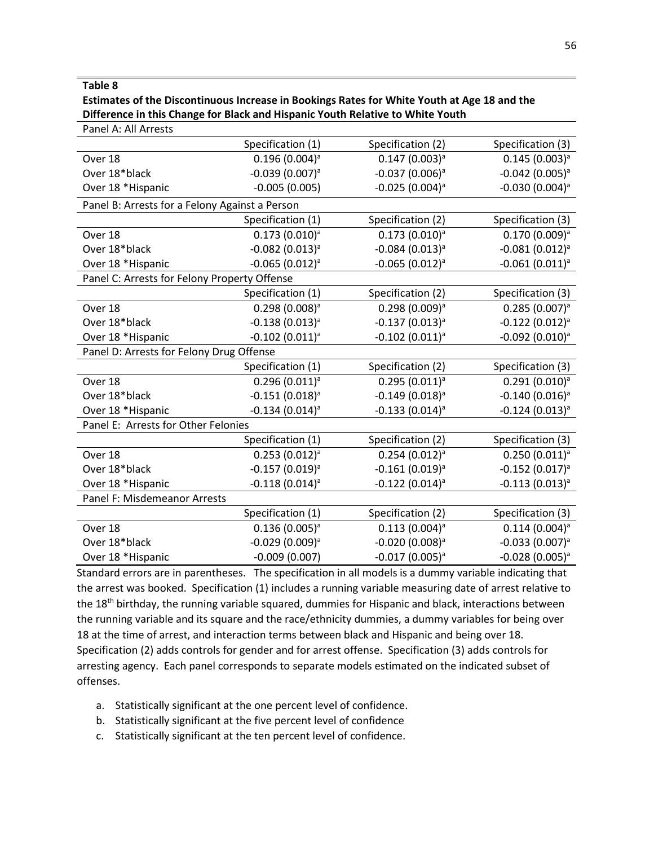## **Estimates of the Discontinuous Increase in Bookings Rates for White Youth at Age 18 and the Difference in this Change for Black and Hispanic Youth Relative to White Youth**

| Panel A: All Arrests                           |                        |                      |                               |
|------------------------------------------------|------------------------|----------------------|-------------------------------|
|                                                | Specification (1)      | Specification (2)    | Specification (3)             |
| Over 18                                        | $0.196(0.004)^a$       | $0.147(0.003)^{a}$   | $0.145(0.003)^{a}$            |
| Over 18*black                                  | $-0.039(0.007)^a$      | $-0.037(0.006)^a$    | $-0.042$ (0.005) <sup>a</sup> |
| Over 18 *Hispanic                              | $-0.005(0.005)$        | $-0.025(0.004)^a$    | $-0.030(0.004)^a$             |
| Panel B: Arrests for a Felony Against a Person |                        |                      |                               |
|                                                | Specification (1)      | Specification (2)    | Specification (3)             |
| Over 18                                        | $0.173(0.010)^{a}$     | $0.173(0.010)^{a}$   | $0.170(0.009)^{a}$            |
| Over 18*black                                  | $-0.082(0.013)^{a}$    | $-0.084(0.013)^{a}$  | $-0.081(0.012)^{a}$           |
| Over 18 *Hispanic                              | $-0.065(0.012)^{a}$    | $-0.065(0.012)^{a}$  | $-0.061(0.011)^{a}$           |
| Panel C: Arrests for Felony Property Offense   |                        |                      |                               |
|                                                | Specification (1)      | Specification (2)    | Specification (3)             |
| Over 18                                        | $0.298(0.008)^{a}$     | $0.298(0.009)^{a}$   | $0.285(0.007)^a$              |
| Over 18*black                                  | $-0.138(0.013)^{a}$    | $-0.137(0.013)^{a}$  | $-0.122(0.012)^{a}$           |
| Over 18 *Hispanic                              | $-0.102$ $(0.011)^{a}$ | $-0.102$ $(0.011)^a$ | $-0.092$ (0.010) <sup>a</sup> |
| Panel D: Arrests for Felony Drug Offense       |                        |                      |                               |
|                                                | Specification (1)      | Specification (2)    | Specification (3)             |
| Over 18                                        | $0.296(0.011)^{a}$     | $0.295(0.011)^{a}$   | $0.291(0.010)^{a}$            |
| Over 18*black                                  | $-0.151(0.018)^{a}$    | $-0.149(0.018)^{a}$  | $-0.140(0.016)^{a}$           |
| Over 18 *Hispanic                              | $-0.134(0.014)^{a}$    | $-0.133(0.014)^{a}$  | $-0.124(0.013)^{a}$           |
| Panel E: Arrests for Other Felonies            |                        |                      |                               |
|                                                | Specification (1)      | Specification (2)    | Specification (3)             |
| Over 18                                        | $0.253(0.012)^a$       | $0.254(0.012)^{a}$   | $0.250(0.011)^{a}$            |
| Over 18*black                                  | $-0.157(0.019)^{a}$    | $-0.161(0.019)^a$    | $-0.152(0.017)^{a}$           |
| Over 18 *Hispanic                              | $-0.118(0.014)^{a}$    | $-0.122(0.014)^{a}$  | $-0.113(0.013)^{a}$           |
| Panel F: Misdemeanor Arrests                   |                        |                      |                               |
|                                                | Specification (1)      | Specification (2)    | Specification (3)             |
| Over 18                                        | $0.136(0.005)^{a}$     | $0.113(0.004)^a$     | $0.114(0.004)^{a}$            |
| Over 18*black                                  | $-0.029(0.009)^{a}$    | $-0.020(0.008)^a$    | $-0.033(0.007)^{a}$           |
| Over 18 *Hispanic                              | $-0.009(0.007)$        | $-0.017(0.005)^{a}$  | $-0.028(0.005)^{a}$           |

Standard errors are in parentheses. The specification in all models is a dummy variable indicating that the arrest was booked. Specification (1) includes a running variable measuring date of arrest relative to the 18th birthday, the running variable squared, dummies for Hispanic and black, interactions between the running variable and its square and the race/ethnicity dummies, a dummy variables for being over 18 at the time of arrest, and interaction terms between black and Hispanic and being over 18. Specification (2) adds controls for gender and for arrest offense. Specification (3) adds controls for arresting agency. Each panel corresponds to separate models estimated on the indicated subset of offenses.

- a. Statistically significant at the one percent level of confidence.
- b. Statistically significant at the five percent level of confidence
- c. Statistically significant at the ten percent level of confidence.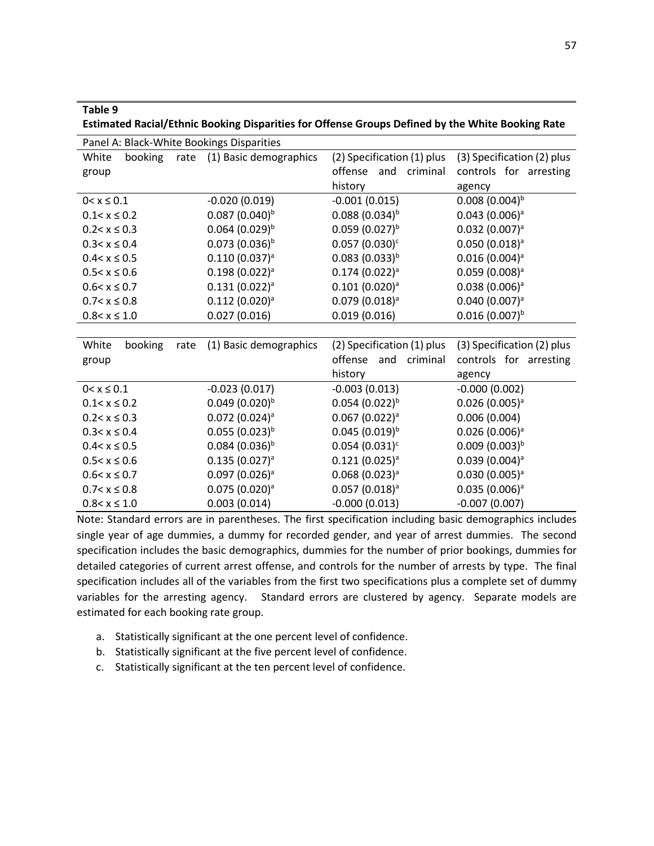| Table 9<br>Estimated Racial/Ethnic Booking Disparities for Offense Groups Defined by the White Booking Rate |                              |                              |                              |  |  |  |
|-------------------------------------------------------------------------------------------------------------|------------------------------|------------------------------|------------------------------|--|--|--|
| Panel A: Black-White Bookings Disparities                                                                   |                              |                              |                              |  |  |  |
| booking<br>rate<br>White                                                                                    | (1) Basic demographics       | (2) Specification (1) plus   | (3) Specification (2) plus   |  |  |  |
| group                                                                                                       |                              | offense<br>criminal<br>and   | controls for arresting       |  |  |  |
|                                                                                                             |                              | history                      | agency                       |  |  |  |
| $0 < x \le 0.1$                                                                                             | $-0.020(0.019)$              | $-0.001(0.015)$              | $0.008(0.004)^{b}$           |  |  |  |
| $0.1 < x \leq 0.2$                                                                                          | $0.087(0.040)^{b}$           | $0.088(0.034)^{b}$           | $0.043(0.006)^a$             |  |  |  |
| $0.2 < x \leq 0.3$                                                                                          | $0.064$ (0.029) <sup>b</sup> | $0.059(0.027)^{b}$           | $0.032$ (0.007) <sup>a</sup> |  |  |  |
| $0.3 < x \leq 0.4$                                                                                          | $0.073(0.036)^{b}$           | $0.057(0.030)^c$             | $0.050(0.018)^{a}$           |  |  |  |
| $0.4 < x \leq 0.5$                                                                                          | 0.110(0.037) <sup>a</sup>    | $0.083(0.033)^{b}$           | $0.016(0.004)^a$             |  |  |  |
| $0.5 < x \leq 0.6$                                                                                          | $0.198(0.022)^a$             | $0.174(0.022)^a$             | $0.059(0.008)^a$             |  |  |  |
| $0.6 < x \leq 0.7$                                                                                          | $0.131(0.022)^a$             | $0.101(0.020)^a$             | $0.038(0.006)^a$             |  |  |  |
| $0.7 < x \leq 0.8$                                                                                          | $0.112(0.020)^a$             | $0.079(0.018)^a$             | 0.040(0.007) <sup>a</sup>    |  |  |  |
| $0.8 < x \leq 1.0$                                                                                          | 0.027(0.016)                 | 0.019(0.016)                 | $0.016(0.007)^{b}$           |  |  |  |
|                                                                                                             |                              |                              |                              |  |  |  |
| booking<br>White<br>rate                                                                                    | (1) Basic demographics       | (2) Specification (1) plus   | (3) Specification (2) plus   |  |  |  |
| group                                                                                                       |                              | offense<br>and<br>criminal   | controls for arresting       |  |  |  |
|                                                                                                             |                              | history                      | agency                       |  |  |  |
| $0 < x \le 0.1$                                                                                             | $-0.023(0.017)$              | $-0.003(0.013)$              | $-0.000(0.002)$              |  |  |  |
| $0.1 < x \leq 0.2$                                                                                          | $0.049(0.020)^{b}$           | $0.054$ (0.022) <sup>b</sup> | $0.026(0.005)^{a}$           |  |  |  |
| $0.2 < x \le 0.3$                                                                                           | $0.072$ (0.024) <sup>a</sup> | $0.067(0.022)^a$             | 0.006(0.004)                 |  |  |  |
| $0.3 < x \leq 0.4$                                                                                          | $0.055(0.023)^{b}$           | $0.045(0.019)^{b}$           | $0.026(0.006)^a$             |  |  |  |
| $0.4 < x \leq 0.5$                                                                                          | $0.084~(0.036)^b$            | $0.054(0.031)^c$             | $0.009(0.003)^{b}$           |  |  |  |
| $0.5 < x \leq 0.6$                                                                                          | $0.135(0.027)^a$             | $0.121(0.025)^a$             | $0.039(0.004)^a$             |  |  |  |
| $0.6 < x \leq 0.7$                                                                                          | $0.097(0.026)^a$             | $0.068(0.023)^a$             | $0.030(0.005)^a$             |  |  |  |
| $0.7 < x \leq 0.8$                                                                                          | $0.075(0.020)^{a}$           | $0.057(0.018)^{a}$           | $0.035(0.006)^{a}$           |  |  |  |
| $0.8 < x \leq 1.0$                                                                                          | 0.003(0.014)                 | $-0.000(0.013)$              | $-0.007(0.007)$              |  |  |  |

Note: Standard errors are in parentheses. The first specification including basic demographics includes single year of age dummies, a dummy for recorded gender, and year of arrest dummies. The second specification includes the basic demographics, dummies for the number of prior bookings, dummies for detailed categories of current arrest offense, and controls for the number of arrests by type. The final specification includes all of the variables from the first two specifications plus a complete set of dummy variables for the arresting agency. Standard errors are clustered by agency. Separate models are estimated for each booking rate group.

- a. Statistically significant at the one percent level of confidence.
- b. Statistically significant at the five percent level of confidence.
- c. Statistically significant at the ten percent level of confidence.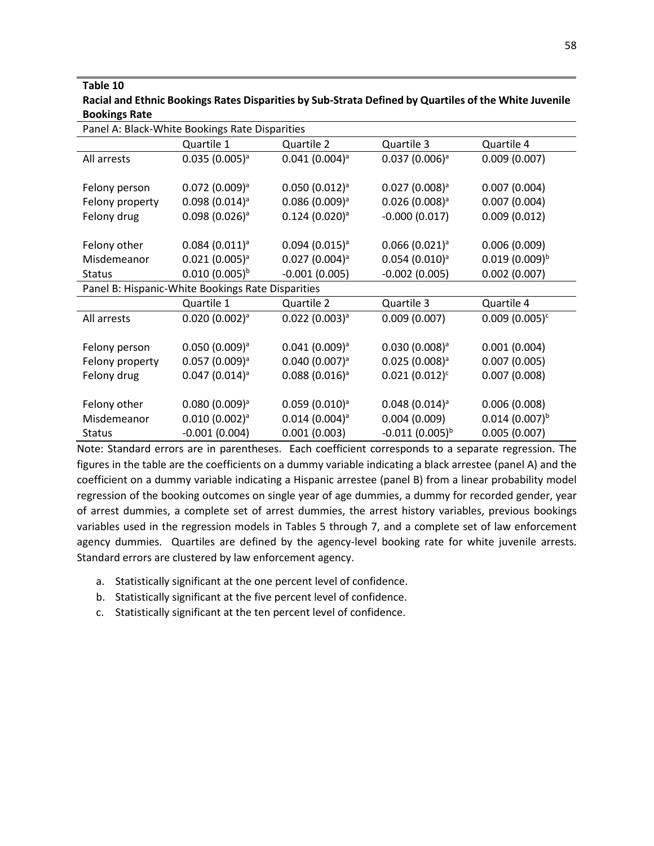## **Table 10 Racial and Ethnic Bookings Rates Disparities by Sub-Strata Defined by Quartiles of the White Juvenile Bookings Rate**

| Panel A: Black-White Bookings Rate Disparities    |                              |                              |                     |                    |
|---------------------------------------------------|------------------------------|------------------------------|---------------------|--------------------|
|                                                   | Quartile 1                   | Quartile 2                   | Quartile 3          | Quartile 4         |
| All arrests                                       | $0.035(0.005)^{a}$           | $0.041(0.004)^a$             | $0.037(0.006)^a$    | 0.009(0.007)       |
|                                                   |                              |                              |                     |                    |
| Felony person                                     | $0.072$ (0.009) <sup>a</sup> | $0.050(0.012)^a$             | $0.027(0.008)^a$    | 0.007(0.004)       |
| Felony property                                   | $0.098(0.014)^{a}$           | $0.086(0.009)^{a}$           | $0.026(0.008)^{a}$  | 0.007(0.004)       |
| Felony drug                                       | $0.098(0.026)^a$             | $0.124(0.020)^{a}$           | $-0.000(0.017)$     | 0.009(0.012)       |
|                                                   |                              |                              |                     |                    |
| Felony other                                      | $0.084(0.011)^a$             | $0.094(0.015)^{a}$           | $0.066(0.021)^a$    | 0.006(0.009)       |
| Misdemeanor                                       | $0.021(0.005)^a$             | $0.027(0.004)^a$             | $0.054(0.010)^a$    | $0.019(0.009)^{b}$ |
| <b>Status</b>                                     | $0.010(0.005)^{b}$           | $-0.001(0.005)$              | $-0.002(0.005)$     | 0.002(0.007)       |
| Panel B: Hispanic-White Bookings Rate Disparities |                              |                              |                     |                    |
|                                                   | Quartile 1                   | Quartile 2                   | Quartile 3          | Quartile 4         |
| All arrests                                       | $0.020(0.002)^a$             | $0.022$ (0.003) <sup>a</sup> | 0.009(0.007)        | $0.009(0.005)^c$   |
|                                                   |                              |                              |                     |                    |
| Felony person                                     | $0.050(0.009)^a$             | $0.041(0.009)^a$             | $0.030(0.008)^a$    | 0.001(0.004)       |
| Felony property                                   | $0.057(0.009)^{a}$           | $0.040(0.007)^a$             | $0.025(0.008)^{a}$  | 0.007(0.005)       |
| Felony drug                                       | $0.047(0.014)^a$             | $0.088(0.016)^{a}$           | $0.021(0.012)^c$    | 0.007(0.008)       |
|                                                   |                              |                              |                     |                    |
| Felony other                                      | $0.080(0.009)^a$             | $0.059(0.010)^a$             | $0.048(0.014)^a$    | 0.006(0.008)       |
| Misdemeanor                                       | $0.010(0.002)^a$             | $0.014(0.004)^a$             | 0.004(0.009)        | $0.014(0.007)^{b}$ |
| <b>Status</b>                                     | $-0.001(0.004)$              | 0.001(0.003)                 | $-0.011(0.005)^{b}$ | 0.005(0.007)       |

Note: Standard errors are in parentheses. Each coefficient corresponds to a separate regression. The figures in the table are the coefficients on a dummy variable indicating a black arrestee (panel A) and the coefficient on a dummy variable indicating a Hispanic arrestee (panel B) from a linear probability model regression of the booking outcomes on single year of age dummies, a dummy for recorded gender, year of arrest dummies, a complete set of arrest dummies, the arrest history variables, previous bookings variables used in the regression models in Tables 5 through 7, and a complete set of law enforcement agency dummies. Quartiles are defined by the agency-level booking rate for white juvenile arrests. Standard errors are clustered by law enforcement agency.

- a. Statistically significant at the one percent level of confidence.
- b. Statistically significant at the five percent level of confidence.
- c. Statistically significant at the ten percent level of confidence.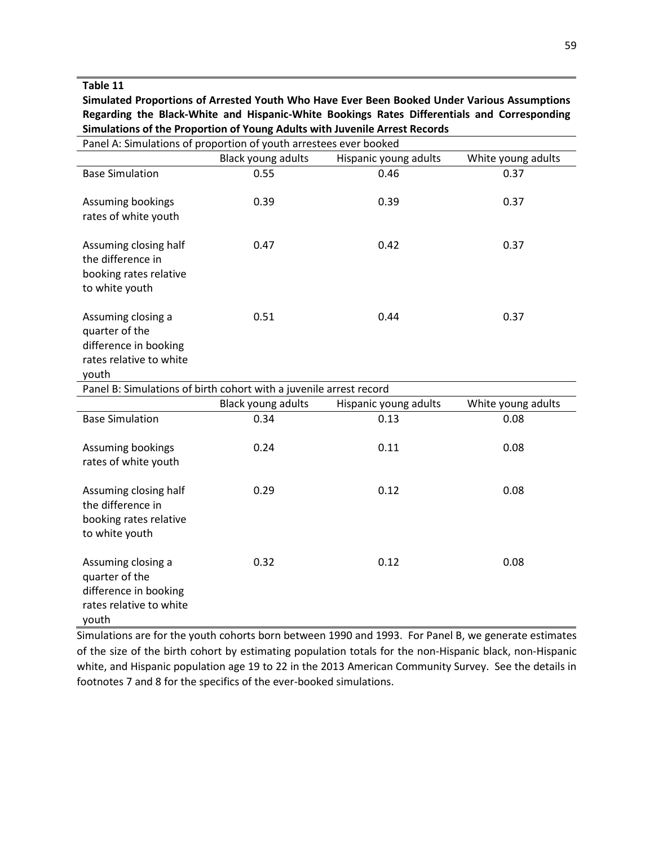**Simulated Proportions of Arrested Youth Who Have Ever Been Booked Under Various Assumptions Regarding the Black-White and Hispanic-White Bookings Rates Differentials and Corresponding Simulations of the Proportion of Young Adults with Juvenile Arrest Records**

| Panel A: Simulations of proportion of youth arrestees ever booked                                 |                           |                       |                    |  |
|---------------------------------------------------------------------------------------------------|---------------------------|-----------------------|--------------------|--|
|                                                                                                   | <b>Black young adults</b> | Hispanic young adults | White young adults |  |
| <b>Base Simulation</b>                                                                            | 0.55                      | 0.46                  | 0.37               |  |
| Assuming bookings<br>rates of white youth                                                         | 0.39                      | 0.39                  | 0.37               |  |
| Assuming closing half<br>the difference in<br>booking rates relative<br>to white youth            | 0.47                      | 0.42                  | 0.37               |  |
| Assuming closing a<br>quarter of the<br>difference in booking<br>rates relative to white<br>youth | 0.51                      | 0.44                  | 0.37               |  |
| Panel B: Simulations of birth cohort with a juvenile arrest record                                |                           |                       |                    |  |
|                                                                                                   | <b>Black young adults</b> | Hispanic young adults | White young adults |  |
| <b>Base Simulation</b>                                                                            | 0.34                      | 0.13                  | 0.08               |  |
| Assuming bookings<br>rates of white youth                                                         | 0.24                      | 0.11                  | 0.08               |  |
| Assuming closing half<br>the difference in<br>booking rates relative<br>to white youth            | 0.29                      | 0.12                  | 0.08               |  |
| Assuming closing a<br>quarter of the<br>difference in booking<br>rates relative to white<br>youth | 0.32                      | 0.12                  | 0.08               |  |

Simulations are for the youth cohorts born between 1990 and 1993. For Panel B, we generate estimates of the size of the birth cohort by estimating population totals for the non-Hispanic black, non-Hispanic white, and Hispanic population age 19 to 22 in the 2013 American Community Survey. See the details in footnotes 7 and 8 for the specifics of the ever-booked simulations.